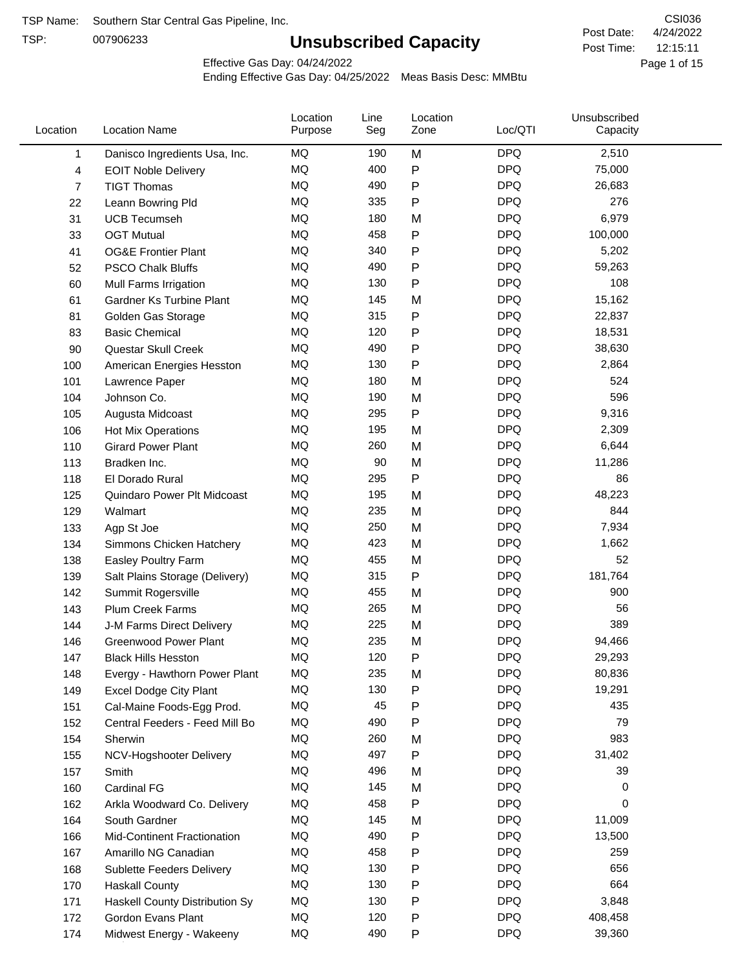TSP:

# **Unsubscribed Capacity**

4/24/2022 Page 1 of 15 12:15:11 CSI036 Post Date: Post Time:

Effective Gas Day: 04/24/2022

| MQ<br>M<br><b>DPQ</b><br>2,510<br>190<br>1<br>Danisco Ingredients Usa, Inc.<br>MQ<br>400<br>${\sf P}$<br><b>DPQ</b><br>75,000<br>4<br><b>EOIT Noble Delivery</b><br><b>MQ</b><br>${\sf P}$<br><b>DPQ</b><br>490<br>26,683<br>7<br><b>TIGT Thomas</b><br><b>MQ</b><br><b>DPQ</b><br>335<br>276<br>22<br>Leann Bowring Pld<br>$\mathsf{P}$<br><b>MQ</b><br><b>DPQ</b><br>180<br>6,979<br>31<br>M<br><b>UCB Tecumseh</b><br><b>DPQ</b><br>MQ<br>458<br>P<br>100,000<br>33<br><b>OGT Mutual</b><br><b>DPQ</b><br>MQ<br>${\sf P}$<br>5,202<br>340<br>41<br><b>OG&amp;E Frontier Plant</b><br><b>DPQ</b><br>MQ<br>490<br>59,263<br>52<br><b>PSCO Chalk Bluffs</b><br>$\mathsf{P}$<br><b>MQ</b><br><b>DPQ</b><br>60<br>130<br>P<br>108<br>Mull Farms Irrigation<br><b>MQ</b><br><b>DPQ</b><br>145<br>15,162<br>M<br>61<br>Gardner Ks Turbine Plant<br>MQ<br>315<br><b>DPQ</b><br>P<br>22,837<br>81<br>Golden Gas Storage<br>${\sf P}$<br><b>DPQ</b><br>MQ<br>120<br>18,531<br>83<br><b>Basic Chemical</b><br>MQ<br>490<br>${\sf P}$<br><b>DPQ</b><br>90<br>Questar Skull Creek<br>38,630<br><b>MQ</b><br>${\sf P}$<br><b>DPQ</b><br>130<br>2,864<br>100<br>American Energies Hesston<br><b>MQ</b><br><b>DPQ</b><br>524<br>180<br>101<br>Lawrence Paper<br>M<br><b>DPQ</b><br>MQ<br>M<br>596<br>Johnson Co.<br>190<br>104<br><b>MQ</b><br><b>DPQ</b><br>295<br>${\sf P}$<br>9,316<br>105<br>Augusta Midcoast<br><b>DPQ</b><br>MQ<br>195<br>2,309<br>M<br>106<br>Hot Mix Operations<br><b>MQ</b><br><b>DPQ</b><br>260<br>6,644<br>M<br>110<br><b>Girard Power Plant</b><br>MQ<br>90<br>M<br><b>DPQ</b><br>11,286<br>113<br>Bradken Inc.<br>MQ<br>295<br>${\sf P}$<br><b>DPQ</b><br>86<br>118<br>El Dorado Rural<br><b>MQ</b><br>195<br><b>DPQ</b><br>48,223<br>M<br>125<br>Quindaro Power Plt Midcoast<br><b>MQ</b><br><b>DPQ</b><br>235<br>844<br>129<br>M<br>Walmart<br><b>MQ</b><br><b>DPQ</b><br>250<br>M<br>7,934<br>133<br>Agp St Joe<br>MQ<br><b>DPQ</b><br>423<br>M<br>1,662<br>134<br>Simmons Chicken Hatchery<br><b>DPQ</b><br>MQ<br>455<br>52<br>M<br>138<br>Easley Poultry Farm<br><b>DPQ</b><br>MQ<br>315<br>P<br>181,764<br>139<br>Salt Plains Storage (Delivery)<br><b>MQ</b><br><b>DPQ</b><br>455<br>900<br>M<br>142<br>Summit Rogersville<br>MQ<br>265<br>M<br><b>DPQ</b><br>56<br>143<br><b>Plum Creek Farms</b><br>MQ<br><b>DPQ</b><br>389<br>225<br>144<br>J-M Farms Direct Delivery<br>M<br>MQ<br><b>DPQ</b><br>235<br>M<br>146<br><b>Greenwood Power Plant</b><br>94,466<br>MQ<br>120<br><b>DPQ</b><br>29,293<br>$\mathsf{P}$<br>147<br><b>Black Hills Hesston</b><br>80,836<br>ΜQ<br>235<br>M<br><b>DPQ</b><br>148<br>Evergy - Hawthorn Power Plant<br>MQ<br>130<br><b>DPQ</b><br>19,291<br>P<br>149<br><b>Excel Dodge City Plant</b><br>${\sf P}$<br>MQ<br>45<br><b>DPQ</b><br>435<br>151<br>Cal-Maine Foods-Egg Prod.<br>MQ<br>490<br><b>DPQ</b><br>79<br>P<br>152<br>Central Feeders - Feed Mill Bo<br>MQ<br><b>DPQ</b><br>983<br>260<br>154<br>M<br>Sherwin<br><b>DPQ</b><br>MQ<br>31,402<br>497<br>P<br>155<br>NCV-Hogshooter Delivery<br>MQ<br><b>DPQ</b><br>39<br>496<br>M<br>157<br>Smith<br>MQ<br>145<br><b>DPQ</b><br>Cardinal FG<br>M<br>160<br>0<br>MQ<br>458<br><b>DPQ</b><br>P<br>0<br>162<br>Arkla Woodward Co. Delivery<br>MQ<br><b>DPQ</b><br>145<br>11,009<br>M<br>164<br>South Gardner<br>MQ<br><b>DPQ</b><br>13,500<br>490<br>P<br>166<br><b>Mid-Continent Fractionation</b><br>MQ<br>458<br>P<br><b>DPQ</b><br>259<br>167<br>Amarillo NG Canadian<br>MQ<br><b>DPQ</b><br>656<br>130<br>P<br>168<br>Sublette Feeders Delivery<br><b>DPQ</b><br>MQ<br>130<br>664<br>P<br>170<br><b>Haskall County</b><br><b>DPQ</b><br>MQ<br>130<br>P<br>3,848<br>171<br>Haskell County Distribution Sy<br>MQ<br><b>DPQ</b><br>120<br>P<br>408,458<br>172<br>Gordon Evans Plant<br>MQ<br>490<br><b>DPQ</b><br>39,360<br>P<br>174<br>Midwest Energy - Wakeeny | Location | <b>Location Name</b> | Location<br>Purpose | Line<br>Seg | Location<br>Zone | Loc/QTI | Unsubscribed<br>Capacity |  |
|-------------------------------------------------------------------------------------------------------------------------------------------------------------------------------------------------------------------------------------------------------------------------------------------------------------------------------------------------------------------------------------------------------------------------------------------------------------------------------------------------------------------------------------------------------------------------------------------------------------------------------------------------------------------------------------------------------------------------------------------------------------------------------------------------------------------------------------------------------------------------------------------------------------------------------------------------------------------------------------------------------------------------------------------------------------------------------------------------------------------------------------------------------------------------------------------------------------------------------------------------------------------------------------------------------------------------------------------------------------------------------------------------------------------------------------------------------------------------------------------------------------------------------------------------------------------------------------------------------------------------------------------------------------------------------------------------------------------------------------------------------------------------------------------------------------------------------------------------------------------------------------------------------------------------------------------------------------------------------------------------------------------------------------------------------------------------------------------------------------------------------------------------------------------------------------------------------------------------------------------------------------------------------------------------------------------------------------------------------------------------------------------------------------------------------------------------------------------------------------------------------------------------------------------------------------------------------------------------------------------------------------------------------------------------------------------------------------------------------------------------------------------------------------------------------------------------------------------------------------------------------------------------------------------------------------------------------------------------------------------------------------------------------------------------------------------------------------------------------------------------------------------------------------------------------------------------------------------------------------------------------------------------------------------------------------------------------------------------------------------------------------------------------------------------------------------------------------------------------------------------------------------------------------------------------------------------------------------------------------------------------------------------------------------------------------------------------------------------------------------------------------------------------------------------------------------------------------------------------------------------------|----------|----------------------|---------------------|-------------|------------------|---------|--------------------------|--|
|                                                                                                                                                                                                                                                                                                                                                                                                                                                                                                                                                                                                                                                                                                                                                                                                                                                                                                                                                                                                                                                                                                                                                                                                                                                                                                                                                                                                                                                                                                                                                                                                                                                                                                                                                                                                                                                                                                                                                                                                                                                                                                                                                                                                                                                                                                                                                                                                                                                                                                                                                                                                                                                                                                                                                                                                                                                                                                                                                                                                                                                                                                                                                                                                                                                                                                                                                                                                                                                                                                                                                                                                                                                                                                                                                                                                                                                                               |          |                      |                     |             |                  |         |                          |  |
|                                                                                                                                                                                                                                                                                                                                                                                                                                                                                                                                                                                                                                                                                                                                                                                                                                                                                                                                                                                                                                                                                                                                                                                                                                                                                                                                                                                                                                                                                                                                                                                                                                                                                                                                                                                                                                                                                                                                                                                                                                                                                                                                                                                                                                                                                                                                                                                                                                                                                                                                                                                                                                                                                                                                                                                                                                                                                                                                                                                                                                                                                                                                                                                                                                                                                                                                                                                                                                                                                                                                                                                                                                                                                                                                                                                                                                                                               |          |                      |                     |             |                  |         |                          |  |
|                                                                                                                                                                                                                                                                                                                                                                                                                                                                                                                                                                                                                                                                                                                                                                                                                                                                                                                                                                                                                                                                                                                                                                                                                                                                                                                                                                                                                                                                                                                                                                                                                                                                                                                                                                                                                                                                                                                                                                                                                                                                                                                                                                                                                                                                                                                                                                                                                                                                                                                                                                                                                                                                                                                                                                                                                                                                                                                                                                                                                                                                                                                                                                                                                                                                                                                                                                                                                                                                                                                                                                                                                                                                                                                                                                                                                                                                               |          |                      |                     |             |                  |         |                          |  |
|                                                                                                                                                                                                                                                                                                                                                                                                                                                                                                                                                                                                                                                                                                                                                                                                                                                                                                                                                                                                                                                                                                                                                                                                                                                                                                                                                                                                                                                                                                                                                                                                                                                                                                                                                                                                                                                                                                                                                                                                                                                                                                                                                                                                                                                                                                                                                                                                                                                                                                                                                                                                                                                                                                                                                                                                                                                                                                                                                                                                                                                                                                                                                                                                                                                                                                                                                                                                                                                                                                                                                                                                                                                                                                                                                                                                                                                                               |          |                      |                     |             |                  |         |                          |  |
|                                                                                                                                                                                                                                                                                                                                                                                                                                                                                                                                                                                                                                                                                                                                                                                                                                                                                                                                                                                                                                                                                                                                                                                                                                                                                                                                                                                                                                                                                                                                                                                                                                                                                                                                                                                                                                                                                                                                                                                                                                                                                                                                                                                                                                                                                                                                                                                                                                                                                                                                                                                                                                                                                                                                                                                                                                                                                                                                                                                                                                                                                                                                                                                                                                                                                                                                                                                                                                                                                                                                                                                                                                                                                                                                                                                                                                                                               |          |                      |                     |             |                  |         |                          |  |
|                                                                                                                                                                                                                                                                                                                                                                                                                                                                                                                                                                                                                                                                                                                                                                                                                                                                                                                                                                                                                                                                                                                                                                                                                                                                                                                                                                                                                                                                                                                                                                                                                                                                                                                                                                                                                                                                                                                                                                                                                                                                                                                                                                                                                                                                                                                                                                                                                                                                                                                                                                                                                                                                                                                                                                                                                                                                                                                                                                                                                                                                                                                                                                                                                                                                                                                                                                                                                                                                                                                                                                                                                                                                                                                                                                                                                                                                               |          |                      |                     |             |                  |         |                          |  |
|                                                                                                                                                                                                                                                                                                                                                                                                                                                                                                                                                                                                                                                                                                                                                                                                                                                                                                                                                                                                                                                                                                                                                                                                                                                                                                                                                                                                                                                                                                                                                                                                                                                                                                                                                                                                                                                                                                                                                                                                                                                                                                                                                                                                                                                                                                                                                                                                                                                                                                                                                                                                                                                                                                                                                                                                                                                                                                                                                                                                                                                                                                                                                                                                                                                                                                                                                                                                                                                                                                                                                                                                                                                                                                                                                                                                                                                                               |          |                      |                     |             |                  |         |                          |  |
|                                                                                                                                                                                                                                                                                                                                                                                                                                                                                                                                                                                                                                                                                                                                                                                                                                                                                                                                                                                                                                                                                                                                                                                                                                                                                                                                                                                                                                                                                                                                                                                                                                                                                                                                                                                                                                                                                                                                                                                                                                                                                                                                                                                                                                                                                                                                                                                                                                                                                                                                                                                                                                                                                                                                                                                                                                                                                                                                                                                                                                                                                                                                                                                                                                                                                                                                                                                                                                                                                                                                                                                                                                                                                                                                                                                                                                                                               |          |                      |                     |             |                  |         |                          |  |
|                                                                                                                                                                                                                                                                                                                                                                                                                                                                                                                                                                                                                                                                                                                                                                                                                                                                                                                                                                                                                                                                                                                                                                                                                                                                                                                                                                                                                                                                                                                                                                                                                                                                                                                                                                                                                                                                                                                                                                                                                                                                                                                                                                                                                                                                                                                                                                                                                                                                                                                                                                                                                                                                                                                                                                                                                                                                                                                                                                                                                                                                                                                                                                                                                                                                                                                                                                                                                                                                                                                                                                                                                                                                                                                                                                                                                                                                               |          |                      |                     |             |                  |         |                          |  |
|                                                                                                                                                                                                                                                                                                                                                                                                                                                                                                                                                                                                                                                                                                                                                                                                                                                                                                                                                                                                                                                                                                                                                                                                                                                                                                                                                                                                                                                                                                                                                                                                                                                                                                                                                                                                                                                                                                                                                                                                                                                                                                                                                                                                                                                                                                                                                                                                                                                                                                                                                                                                                                                                                                                                                                                                                                                                                                                                                                                                                                                                                                                                                                                                                                                                                                                                                                                                                                                                                                                                                                                                                                                                                                                                                                                                                                                                               |          |                      |                     |             |                  |         |                          |  |
|                                                                                                                                                                                                                                                                                                                                                                                                                                                                                                                                                                                                                                                                                                                                                                                                                                                                                                                                                                                                                                                                                                                                                                                                                                                                                                                                                                                                                                                                                                                                                                                                                                                                                                                                                                                                                                                                                                                                                                                                                                                                                                                                                                                                                                                                                                                                                                                                                                                                                                                                                                                                                                                                                                                                                                                                                                                                                                                                                                                                                                                                                                                                                                                                                                                                                                                                                                                                                                                                                                                                                                                                                                                                                                                                                                                                                                                                               |          |                      |                     |             |                  |         |                          |  |
|                                                                                                                                                                                                                                                                                                                                                                                                                                                                                                                                                                                                                                                                                                                                                                                                                                                                                                                                                                                                                                                                                                                                                                                                                                                                                                                                                                                                                                                                                                                                                                                                                                                                                                                                                                                                                                                                                                                                                                                                                                                                                                                                                                                                                                                                                                                                                                                                                                                                                                                                                                                                                                                                                                                                                                                                                                                                                                                                                                                                                                                                                                                                                                                                                                                                                                                                                                                                                                                                                                                                                                                                                                                                                                                                                                                                                                                                               |          |                      |                     |             |                  |         |                          |  |
|                                                                                                                                                                                                                                                                                                                                                                                                                                                                                                                                                                                                                                                                                                                                                                                                                                                                                                                                                                                                                                                                                                                                                                                                                                                                                                                                                                                                                                                                                                                                                                                                                                                                                                                                                                                                                                                                                                                                                                                                                                                                                                                                                                                                                                                                                                                                                                                                                                                                                                                                                                                                                                                                                                                                                                                                                                                                                                                                                                                                                                                                                                                                                                                                                                                                                                                                                                                                                                                                                                                                                                                                                                                                                                                                                                                                                                                                               |          |                      |                     |             |                  |         |                          |  |
|                                                                                                                                                                                                                                                                                                                                                                                                                                                                                                                                                                                                                                                                                                                                                                                                                                                                                                                                                                                                                                                                                                                                                                                                                                                                                                                                                                                                                                                                                                                                                                                                                                                                                                                                                                                                                                                                                                                                                                                                                                                                                                                                                                                                                                                                                                                                                                                                                                                                                                                                                                                                                                                                                                                                                                                                                                                                                                                                                                                                                                                                                                                                                                                                                                                                                                                                                                                                                                                                                                                                                                                                                                                                                                                                                                                                                                                                               |          |                      |                     |             |                  |         |                          |  |
|                                                                                                                                                                                                                                                                                                                                                                                                                                                                                                                                                                                                                                                                                                                                                                                                                                                                                                                                                                                                                                                                                                                                                                                                                                                                                                                                                                                                                                                                                                                                                                                                                                                                                                                                                                                                                                                                                                                                                                                                                                                                                                                                                                                                                                                                                                                                                                                                                                                                                                                                                                                                                                                                                                                                                                                                                                                                                                                                                                                                                                                                                                                                                                                                                                                                                                                                                                                                                                                                                                                                                                                                                                                                                                                                                                                                                                                                               |          |                      |                     |             |                  |         |                          |  |
|                                                                                                                                                                                                                                                                                                                                                                                                                                                                                                                                                                                                                                                                                                                                                                                                                                                                                                                                                                                                                                                                                                                                                                                                                                                                                                                                                                                                                                                                                                                                                                                                                                                                                                                                                                                                                                                                                                                                                                                                                                                                                                                                                                                                                                                                                                                                                                                                                                                                                                                                                                                                                                                                                                                                                                                                                                                                                                                                                                                                                                                                                                                                                                                                                                                                                                                                                                                                                                                                                                                                                                                                                                                                                                                                                                                                                                                                               |          |                      |                     |             |                  |         |                          |  |
|                                                                                                                                                                                                                                                                                                                                                                                                                                                                                                                                                                                                                                                                                                                                                                                                                                                                                                                                                                                                                                                                                                                                                                                                                                                                                                                                                                                                                                                                                                                                                                                                                                                                                                                                                                                                                                                                                                                                                                                                                                                                                                                                                                                                                                                                                                                                                                                                                                                                                                                                                                                                                                                                                                                                                                                                                                                                                                                                                                                                                                                                                                                                                                                                                                                                                                                                                                                                                                                                                                                                                                                                                                                                                                                                                                                                                                                                               |          |                      |                     |             |                  |         |                          |  |
|                                                                                                                                                                                                                                                                                                                                                                                                                                                                                                                                                                                                                                                                                                                                                                                                                                                                                                                                                                                                                                                                                                                                                                                                                                                                                                                                                                                                                                                                                                                                                                                                                                                                                                                                                                                                                                                                                                                                                                                                                                                                                                                                                                                                                                                                                                                                                                                                                                                                                                                                                                                                                                                                                                                                                                                                                                                                                                                                                                                                                                                                                                                                                                                                                                                                                                                                                                                                                                                                                                                                                                                                                                                                                                                                                                                                                                                                               |          |                      |                     |             |                  |         |                          |  |
|                                                                                                                                                                                                                                                                                                                                                                                                                                                                                                                                                                                                                                                                                                                                                                                                                                                                                                                                                                                                                                                                                                                                                                                                                                                                                                                                                                                                                                                                                                                                                                                                                                                                                                                                                                                                                                                                                                                                                                                                                                                                                                                                                                                                                                                                                                                                                                                                                                                                                                                                                                                                                                                                                                                                                                                                                                                                                                                                                                                                                                                                                                                                                                                                                                                                                                                                                                                                                                                                                                                                                                                                                                                                                                                                                                                                                                                                               |          |                      |                     |             |                  |         |                          |  |
|                                                                                                                                                                                                                                                                                                                                                                                                                                                                                                                                                                                                                                                                                                                                                                                                                                                                                                                                                                                                                                                                                                                                                                                                                                                                                                                                                                                                                                                                                                                                                                                                                                                                                                                                                                                                                                                                                                                                                                                                                                                                                                                                                                                                                                                                                                                                                                                                                                                                                                                                                                                                                                                                                                                                                                                                                                                                                                                                                                                                                                                                                                                                                                                                                                                                                                                                                                                                                                                                                                                                                                                                                                                                                                                                                                                                                                                                               |          |                      |                     |             |                  |         |                          |  |
|                                                                                                                                                                                                                                                                                                                                                                                                                                                                                                                                                                                                                                                                                                                                                                                                                                                                                                                                                                                                                                                                                                                                                                                                                                                                                                                                                                                                                                                                                                                                                                                                                                                                                                                                                                                                                                                                                                                                                                                                                                                                                                                                                                                                                                                                                                                                                                                                                                                                                                                                                                                                                                                                                                                                                                                                                                                                                                                                                                                                                                                                                                                                                                                                                                                                                                                                                                                                                                                                                                                                                                                                                                                                                                                                                                                                                                                                               |          |                      |                     |             |                  |         |                          |  |
|                                                                                                                                                                                                                                                                                                                                                                                                                                                                                                                                                                                                                                                                                                                                                                                                                                                                                                                                                                                                                                                                                                                                                                                                                                                                                                                                                                                                                                                                                                                                                                                                                                                                                                                                                                                                                                                                                                                                                                                                                                                                                                                                                                                                                                                                                                                                                                                                                                                                                                                                                                                                                                                                                                                                                                                                                                                                                                                                                                                                                                                                                                                                                                                                                                                                                                                                                                                                                                                                                                                                                                                                                                                                                                                                                                                                                                                                               |          |                      |                     |             |                  |         |                          |  |
|                                                                                                                                                                                                                                                                                                                                                                                                                                                                                                                                                                                                                                                                                                                                                                                                                                                                                                                                                                                                                                                                                                                                                                                                                                                                                                                                                                                                                                                                                                                                                                                                                                                                                                                                                                                                                                                                                                                                                                                                                                                                                                                                                                                                                                                                                                                                                                                                                                                                                                                                                                                                                                                                                                                                                                                                                                                                                                                                                                                                                                                                                                                                                                                                                                                                                                                                                                                                                                                                                                                                                                                                                                                                                                                                                                                                                                                                               |          |                      |                     |             |                  |         |                          |  |
|                                                                                                                                                                                                                                                                                                                                                                                                                                                                                                                                                                                                                                                                                                                                                                                                                                                                                                                                                                                                                                                                                                                                                                                                                                                                                                                                                                                                                                                                                                                                                                                                                                                                                                                                                                                                                                                                                                                                                                                                                                                                                                                                                                                                                                                                                                                                                                                                                                                                                                                                                                                                                                                                                                                                                                                                                                                                                                                                                                                                                                                                                                                                                                                                                                                                                                                                                                                                                                                                                                                                                                                                                                                                                                                                                                                                                                                                               |          |                      |                     |             |                  |         |                          |  |
|                                                                                                                                                                                                                                                                                                                                                                                                                                                                                                                                                                                                                                                                                                                                                                                                                                                                                                                                                                                                                                                                                                                                                                                                                                                                                                                                                                                                                                                                                                                                                                                                                                                                                                                                                                                                                                                                                                                                                                                                                                                                                                                                                                                                                                                                                                                                                                                                                                                                                                                                                                                                                                                                                                                                                                                                                                                                                                                                                                                                                                                                                                                                                                                                                                                                                                                                                                                                                                                                                                                                                                                                                                                                                                                                                                                                                                                                               |          |                      |                     |             |                  |         |                          |  |
|                                                                                                                                                                                                                                                                                                                                                                                                                                                                                                                                                                                                                                                                                                                                                                                                                                                                                                                                                                                                                                                                                                                                                                                                                                                                                                                                                                                                                                                                                                                                                                                                                                                                                                                                                                                                                                                                                                                                                                                                                                                                                                                                                                                                                                                                                                                                                                                                                                                                                                                                                                                                                                                                                                                                                                                                                                                                                                                                                                                                                                                                                                                                                                                                                                                                                                                                                                                                                                                                                                                                                                                                                                                                                                                                                                                                                                                                               |          |                      |                     |             |                  |         |                          |  |
|                                                                                                                                                                                                                                                                                                                                                                                                                                                                                                                                                                                                                                                                                                                                                                                                                                                                                                                                                                                                                                                                                                                                                                                                                                                                                                                                                                                                                                                                                                                                                                                                                                                                                                                                                                                                                                                                                                                                                                                                                                                                                                                                                                                                                                                                                                                                                                                                                                                                                                                                                                                                                                                                                                                                                                                                                                                                                                                                                                                                                                                                                                                                                                                                                                                                                                                                                                                                                                                                                                                                                                                                                                                                                                                                                                                                                                                                               |          |                      |                     |             |                  |         |                          |  |
|                                                                                                                                                                                                                                                                                                                                                                                                                                                                                                                                                                                                                                                                                                                                                                                                                                                                                                                                                                                                                                                                                                                                                                                                                                                                                                                                                                                                                                                                                                                                                                                                                                                                                                                                                                                                                                                                                                                                                                                                                                                                                                                                                                                                                                                                                                                                                                                                                                                                                                                                                                                                                                                                                                                                                                                                                                                                                                                                                                                                                                                                                                                                                                                                                                                                                                                                                                                                                                                                                                                                                                                                                                                                                                                                                                                                                                                                               |          |                      |                     |             |                  |         |                          |  |
|                                                                                                                                                                                                                                                                                                                                                                                                                                                                                                                                                                                                                                                                                                                                                                                                                                                                                                                                                                                                                                                                                                                                                                                                                                                                                                                                                                                                                                                                                                                                                                                                                                                                                                                                                                                                                                                                                                                                                                                                                                                                                                                                                                                                                                                                                                                                                                                                                                                                                                                                                                                                                                                                                                                                                                                                                                                                                                                                                                                                                                                                                                                                                                                                                                                                                                                                                                                                                                                                                                                                                                                                                                                                                                                                                                                                                                                                               |          |                      |                     |             |                  |         |                          |  |
|                                                                                                                                                                                                                                                                                                                                                                                                                                                                                                                                                                                                                                                                                                                                                                                                                                                                                                                                                                                                                                                                                                                                                                                                                                                                                                                                                                                                                                                                                                                                                                                                                                                                                                                                                                                                                                                                                                                                                                                                                                                                                                                                                                                                                                                                                                                                                                                                                                                                                                                                                                                                                                                                                                                                                                                                                                                                                                                                                                                                                                                                                                                                                                                                                                                                                                                                                                                                                                                                                                                                                                                                                                                                                                                                                                                                                                                                               |          |                      |                     |             |                  |         |                          |  |
|                                                                                                                                                                                                                                                                                                                                                                                                                                                                                                                                                                                                                                                                                                                                                                                                                                                                                                                                                                                                                                                                                                                                                                                                                                                                                                                                                                                                                                                                                                                                                                                                                                                                                                                                                                                                                                                                                                                                                                                                                                                                                                                                                                                                                                                                                                                                                                                                                                                                                                                                                                                                                                                                                                                                                                                                                                                                                                                                                                                                                                                                                                                                                                                                                                                                                                                                                                                                                                                                                                                                                                                                                                                                                                                                                                                                                                                                               |          |                      |                     |             |                  |         |                          |  |
|                                                                                                                                                                                                                                                                                                                                                                                                                                                                                                                                                                                                                                                                                                                                                                                                                                                                                                                                                                                                                                                                                                                                                                                                                                                                                                                                                                                                                                                                                                                                                                                                                                                                                                                                                                                                                                                                                                                                                                                                                                                                                                                                                                                                                                                                                                                                                                                                                                                                                                                                                                                                                                                                                                                                                                                                                                                                                                                                                                                                                                                                                                                                                                                                                                                                                                                                                                                                                                                                                                                                                                                                                                                                                                                                                                                                                                                                               |          |                      |                     |             |                  |         |                          |  |
|                                                                                                                                                                                                                                                                                                                                                                                                                                                                                                                                                                                                                                                                                                                                                                                                                                                                                                                                                                                                                                                                                                                                                                                                                                                                                                                                                                                                                                                                                                                                                                                                                                                                                                                                                                                                                                                                                                                                                                                                                                                                                                                                                                                                                                                                                                                                                                                                                                                                                                                                                                                                                                                                                                                                                                                                                                                                                                                                                                                                                                                                                                                                                                                                                                                                                                                                                                                                                                                                                                                                                                                                                                                                                                                                                                                                                                                                               |          |                      |                     |             |                  |         |                          |  |
|                                                                                                                                                                                                                                                                                                                                                                                                                                                                                                                                                                                                                                                                                                                                                                                                                                                                                                                                                                                                                                                                                                                                                                                                                                                                                                                                                                                                                                                                                                                                                                                                                                                                                                                                                                                                                                                                                                                                                                                                                                                                                                                                                                                                                                                                                                                                                                                                                                                                                                                                                                                                                                                                                                                                                                                                                                                                                                                                                                                                                                                                                                                                                                                                                                                                                                                                                                                                                                                                                                                                                                                                                                                                                                                                                                                                                                                                               |          |                      |                     |             |                  |         |                          |  |
|                                                                                                                                                                                                                                                                                                                                                                                                                                                                                                                                                                                                                                                                                                                                                                                                                                                                                                                                                                                                                                                                                                                                                                                                                                                                                                                                                                                                                                                                                                                                                                                                                                                                                                                                                                                                                                                                                                                                                                                                                                                                                                                                                                                                                                                                                                                                                                                                                                                                                                                                                                                                                                                                                                                                                                                                                                                                                                                                                                                                                                                                                                                                                                                                                                                                                                                                                                                                                                                                                                                                                                                                                                                                                                                                                                                                                                                                               |          |                      |                     |             |                  |         |                          |  |
|                                                                                                                                                                                                                                                                                                                                                                                                                                                                                                                                                                                                                                                                                                                                                                                                                                                                                                                                                                                                                                                                                                                                                                                                                                                                                                                                                                                                                                                                                                                                                                                                                                                                                                                                                                                                                                                                                                                                                                                                                                                                                                                                                                                                                                                                                                                                                                                                                                                                                                                                                                                                                                                                                                                                                                                                                                                                                                                                                                                                                                                                                                                                                                                                                                                                                                                                                                                                                                                                                                                                                                                                                                                                                                                                                                                                                                                                               |          |                      |                     |             |                  |         |                          |  |
|                                                                                                                                                                                                                                                                                                                                                                                                                                                                                                                                                                                                                                                                                                                                                                                                                                                                                                                                                                                                                                                                                                                                                                                                                                                                                                                                                                                                                                                                                                                                                                                                                                                                                                                                                                                                                                                                                                                                                                                                                                                                                                                                                                                                                                                                                                                                                                                                                                                                                                                                                                                                                                                                                                                                                                                                                                                                                                                                                                                                                                                                                                                                                                                                                                                                                                                                                                                                                                                                                                                                                                                                                                                                                                                                                                                                                                                                               |          |                      |                     |             |                  |         |                          |  |
|                                                                                                                                                                                                                                                                                                                                                                                                                                                                                                                                                                                                                                                                                                                                                                                                                                                                                                                                                                                                                                                                                                                                                                                                                                                                                                                                                                                                                                                                                                                                                                                                                                                                                                                                                                                                                                                                                                                                                                                                                                                                                                                                                                                                                                                                                                                                                                                                                                                                                                                                                                                                                                                                                                                                                                                                                                                                                                                                                                                                                                                                                                                                                                                                                                                                                                                                                                                                                                                                                                                                                                                                                                                                                                                                                                                                                                                                               |          |                      |                     |             |                  |         |                          |  |
|                                                                                                                                                                                                                                                                                                                                                                                                                                                                                                                                                                                                                                                                                                                                                                                                                                                                                                                                                                                                                                                                                                                                                                                                                                                                                                                                                                                                                                                                                                                                                                                                                                                                                                                                                                                                                                                                                                                                                                                                                                                                                                                                                                                                                                                                                                                                                                                                                                                                                                                                                                                                                                                                                                                                                                                                                                                                                                                                                                                                                                                                                                                                                                                                                                                                                                                                                                                                                                                                                                                                                                                                                                                                                                                                                                                                                                                                               |          |                      |                     |             |                  |         |                          |  |
|                                                                                                                                                                                                                                                                                                                                                                                                                                                                                                                                                                                                                                                                                                                                                                                                                                                                                                                                                                                                                                                                                                                                                                                                                                                                                                                                                                                                                                                                                                                                                                                                                                                                                                                                                                                                                                                                                                                                                                                                                                                                                                                                                                                                                                                                                                                                                                                                                                                                                                                                                                                                                                                                                                                                                                                                                                                                                                                                                                                                                                                                                                                                                                                                                                                                                                                                                                                                                                                                                                                                                                                                                                                                                                                                                                                                                                                                               |          |                      |                     |             |                  |         |                          |  |
|                                                                                                                                                                                                                                                                                                                                                                                                                                                                                                                                                                                                                                                                                                                                                                                                                                                                                                                                                                                                                                                                                                                                                                                                                                                                                                                                                                                                                                                                                                                                                                                                                                                                                                                                                                                                                                                                                                                                                                                                                                                                                                                                                                                                                                                                                                                                                                                                                                                                                                                                                                                                                                                                                                                                                                                                                                                                                                                                                                                                                                                                                                                                                                                                                                                                                                                                                                                                                                                                                                                                                                                                                                                                                                                                                                                                                                                                               |          |                      |                     |             |                  |         |                          |  |
|                                                                                                                                                                                                                                                                                                                                                                                                                                                                                                                                                                                                                                                                                                                                                                                                                                                                                                                                                                                                                                                                                                                                                                                                                                                                                                                                                                                                                                                                                                                                                                                                                                                                                                                                                                                                                                                                                                                                                                                                                                                                                                                                                                                                                                                                                                                                                                                                                                                                                                                                                                                                                                                                                                                                                                                                                                                                                                                                                                                                                                                                                                                                                                                                                                                                                                                                                                                                                                                                                                                                                                                                                                                                                                                                                                                                                                                                               |          |                      |                     |             |                  |         |                          |  |
|                                                                                                                                                                                                                                                                                                                                                                                                                                                                                                                                                                                                                                                                                                                                                                                                                                                                                                                                                                                                                                                                                                                                                                                                                                                                                                                                                                                                                                                                                                                                                                                                                                                                                                                                                                                                                                                                                                                                                                                                                                                                                                                                                                                                                                                                                                                                                                                                                                                                                                                                                                                                                                                                                                                                                                                                                                                                                                                                                                                                                                                                                                                                                                                                                                                                                                                                                                                                                                                                                                                                                                                                                                                                                                                                                                                                                                                                               |          |                      |                     |             |                  |         |                          |  |
|                                                                                                                                                                                                                                                                                                                                                                                                                                                                                                                                                                                                                                                                                                                                                                                                                                                                                                                                                                                                                                                                                                                                                                                                                                                                                                                                                                                                                                                                                                                                                                                                                                                                                                                                                                                                                                                                                                                                                                                                                                                                                                                                                                                                                                                                                                                                                                                                                                                                                                                                                                                                                                                                                                                                                                                                                                                                                                                                                                                                                                                                                                                                                                                                                                                                                                                                                                                                                                                                                                                                                                                                                                                                                                                                                                                                                                                                               |          |                      |                     |             |                  |         |                          |  |
|                                                                                                                                                                                                                                                                                                                                                                                                                                                                                                                                                                                                                                                                                                                                                                                                                                                                                                                                                                                                                                                                                                                                                                                                                                                                                                                                                                                                                                                                                                                                                                                                                                                                                                                                                                                                                                                                                                                                                                                                                                                                                                                                                                                                                                                                                                                                                                                                                                                                                                                                                                                                                                                                                                                                                                                                                                                                                                                                                                                                                                                                                                                                                                                                                                                                                                                                                                                                                                                                                                                                                                                                                                                                                                                                                                                                                                                                               |          |                      |                     |             |                  |         |                          |  |
|                                                                                                                                                                                                                                                                                                                                                                                                                                                                                                                                                                                                                                                                                                                                                                                                                                                                                                                                                                                                                                                                                                                                                                                                                                                                                                                                                                                                                                                                                                                                                                                                                                                                                                                                                                                                                                                                                                                                                                                                                                                                                                                                                                                                                                                                                                                                                                                                                                                                                                                                                                                                                                                                                                                                                                                                                                                                                                                                                                                                                                                                                                                                                                                                                                                                                                                                                                                                                                                                                                                                                                                                                                                                                                                                                                                                                                                                               |          |                      |                     |             |                  |         |                          |  |
|                                                                                                                                                                                                                                                                                                                                                                                                                                                                                                                                                                                                                                                                                                                                                                                                                                                                                                                                                                                                                                                                                                                                                                                                                                                                                                                                                                                                                                                                                                                                                                                                                                                                                                                                                                                                                                                                                                                                                                                                                                                                                                                                                                                                                                                                                                                                                                                                                                                                                                                                                                                                                                                                                                                                                                                                                                                                                                                                                                                                                                                                                                                                                                                                                                                                                                                                                                                                                                                                                                                                                                                                                                                                                                                                                                                                                                                                               |          |                      |                     |             |                  |         |                          |  |
|                                                                                                                                                                                                                                                                                                                                                                                                                                                                                                                                                                                                                                                                                                                                                                                                                                                                                                                                                                                                                                                                                                                                                                                                                                                                                                                                                                                                                                                                                                                                                                                                                                                                                                                                                                                                                                                                                                                                                                                                                                                                                                                                                                                                                                                                                                                                                                                                                                                                                                                                                                                                                                                                                                                                                                                                                                                                                                                                                                                                                                                                                                                                                                                                                                                                                                                                                                                                                                                                                                                                                                                                                                                                                                                                                                                                                                                                               |          |                      |                     |             |                  |         |                          |  |
|                                                                                                                                                                                                                                                                                                                                                                                                                                                                                                                                                                                                                                                                                                                                                                                                                                                                                                                                                                                                                                                                                                                                                                                                                                                                                                                                                                                                                                                                                                                                                                                                                                                                                                                                                                                                                                                                                                                                                                                                                                                                                                                                                                                                                                                                                                                                                                                                                                                                                                                                                                                                                                                                                                                                                                                                                                                                                                                                                                                                                                                                                                                                                                                                                                                                                                                                                                                                                                                                                                                                                                                                                                                                                                                                                                                                                                                                               |          |                      |                     |             |                  |         |                          |  |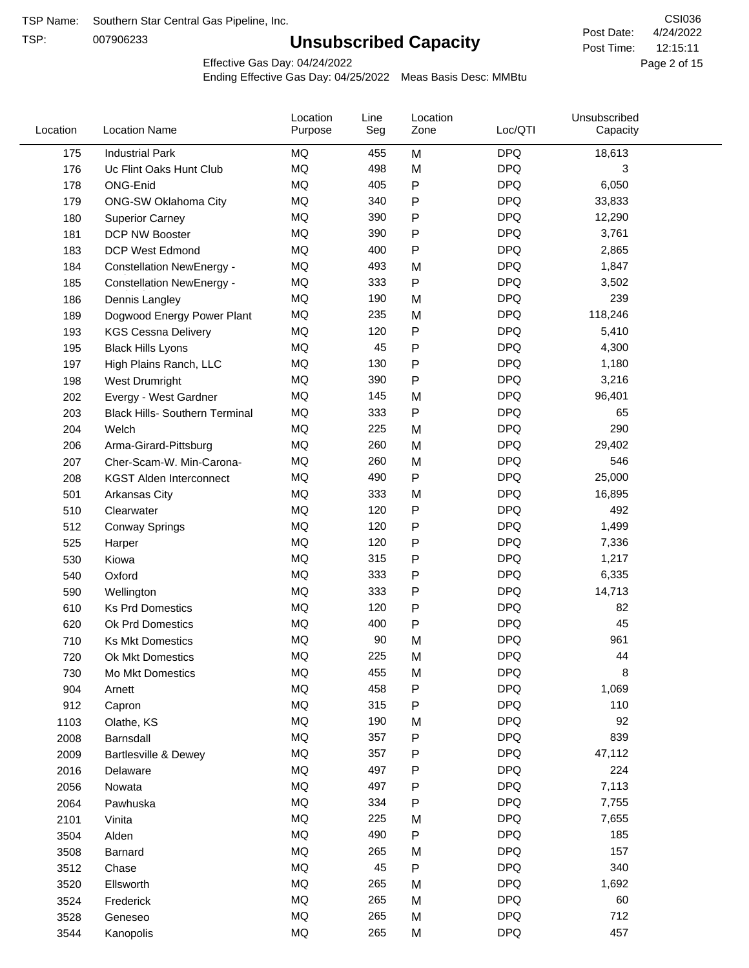TSP:

# **Unsubscribed Capacity**

4/24/2022 Page 2 of 15 12:15:11 CSI036 Post Date: Post Time:

Effective Gas Day: 04/24/2022

| Location | <b>Location Name</b>                  | Location<br>Purpose | Line<br>Seg | Location<br>Zone | Loc/QTI    | Unsubscribed<br>Capacity |  |
|----------|---------------------------------------|---------------------|-------------|------------------|------------|--------------------------|--|
| 175      | <b>Industrial Park</b>                | <b>MQ</b>           | 455         | M                | <b>DPQ</b> | 18,613                   |  |
| 176      | Uc Flint Oaks Hunt Club               | MQ                  | 498         | M                | <b>DPQ</b> | 3                        |  |
| 178      | ONG-Enid                              | MQ                  | 405         | P                | <b>DPQ</b> | 6,050                    |  |
| 179      | ONG-SW Oklahoma City                  | <b>MQ</b>           | 340         | P                | <b>DPQ</b> | 33,833                   |  |
| 180      | <b>Superior Carney</b>                | <b>MQ</b>           | 390         | Ρ                | <b>DPQ</b> | 12,290                   |  |
| 181      | DCP NW Booster                        | MQ                  | 390         | P                | <b>DPQ</b> | 3,761                    |  |
| 183      | <b>DCP West Edmond</b>                | MQ                  | 400         | P                | <b>DPQ</b> | 2,865                    |  |
| 184      | <b>Constellation NewEnergy -</b>      | <b>MQ</b>           | 493         | M                | <b>DPQ</b> | 1,847                    |  |
| 185      | <b>Constellation NewEnergy -</b>      | MQ                  | 333         | P                | <b>DPQ</b> | 3,502                    |  |
| 186      | Dennis Langley                        | MQ                  | 190         | M                | <b>DPQ</b> | 239                      |  |
| 189      | Dogwood Energy Power Plant            | <b>MQ</b>           | 235         | M                | <b>DPQ</b> | 118,246                  |  |
| 193      | <b>KGS Cessna Delivery</b>            | MQ                  | 120         | P                | <b>DPQ</b> | 5,410                    |  |
| 195      | <b>Black Hills Lyons</b>              | <b>MQ</b>           | 45          | P                | <b>DPQ</b> | 4,300                    |  |
| 197      | High Plains Ranch, LLC                | <b>MQ</b>           | 130         | Ρ                | <b>DPQ</b> | 1,180                    |  |
| 198      | West Drumright                        | <b>MQ</b>           | 390         | P                | <b>DPQ</b> | 3,216                    |  |
| 202      | Evergy - West Gardner                 | <b>MQ</b>           | 145         | M                | <b>DPQ</b> | 96,401                   |  |
| 203      | <b>Black Hills- Southern Terminal</b> | MQ                  | 333         | P                | <b>DPQ</b> | 65                       |  |
| 204      | Welch                                 | MQ                  | 225         | M                | <b>DPQ</b> | 290                      |  |
| 206      | Arma-Girard-Pittsburg                 | <b>MQ</b>           | 260         | M                | <b>DPQ</b> | 29,402                   |  |
| 207      | Cher-Scam-W. Min-Carona-              | MQ                  | 260         | M                | <b>DPQ</b> | 546                      |  |
| 208      | <b>KGST Alden Interconnect</b>        | <b>MQ</b>           | 490         | P                | <b>DPQ</b> | 25,000                   |  |
| 501      | <b>Arkansas City</b>                  | <b>MQ</b>           | 333         | M                | <b>DPQ</b> | 16,895                   |  |
| 510      | Clearwater                            | <b>MQ</b>           | 120         | Ρ                | <b>DPQ</b> | 492                      |  |
| 512      | <b>Conway Springs</b>                 | <b>MQ</b>           | 120         | P                | <b>DPQ</b> | 1,499                    |  |
| 525      | Harper                                | <b>MQ</b>           | 120         | P                | <b>DPQ</b> | 7,336                    |  |
| 530      | Kiowa                                 | <b>MQ</b>           | 315         | P                | <b>DPQ</b> | 1,217                    |  |
| 540      | Oxford                                | <b>MQ</b>           | 333         | Ρ                | <b>DPQ</b> | 6,335                    |  |
| 590      | Wellington                            | MQ                  | 333         | Ρ                | <b>DPQ</b> | 14,713                   |  |
| 610      | <b>Ks Prd Domestics</b>               | <b>MQ</b>           | 120         | P                | <b>DPQ</b> | 82                       |  |
| 620      | Ok Prd Domestics                      | <b>MQ</b>           | 400         | P                | <b>DPQ</b> | 45                       |  |
| 710      | <b>Ks Mkt Domestics</b>               | <b>MQ</b>           | 90          | M                | <b>DPQ</b> | 961                      |  |
| 720      | <b>Ok Mkt Domestics</b>               | MQ                  | 225         | M                | <b>DPQ</b> | 44                       |  |
| 730      | Mo Mkt Domestics                      | MQ                  | 455         | M                | <b>DPQ</b> | 8                        |  |
| 904      | Arnett                                | MQ                  | 458         | P                | <b>DPQ</b> | 1,069                    |  |
| 912      | Capron                                | $\sf{MQ}$           | 315         | Ρ                | <b>DPQ</b> | 110                      |  |
| 1103     | Olathe, KS                            | $\sf{MQ}$           | 190         | M                | <b>DPQ</b> | 92                       |  |
| 2008     | Barnsdall                             | MQ                  | 357         | P                | <b>DPQ</b> | 839                      |  |
| 2009     | <b>Bartlesville &amp; Dewey</b>       | MQ                  | 357         | P                | <b>DPQ</b> | 47,112                   |  |
| 2016     | Delaware                              | MQ                  | 497         | Ρ                | <b>DPQ</b> | 224                      |  |
| 2056     | Nowata                                | $\sf{MQ}$           | 497         | P                | <b>DPQ</b> | 7,113                    |  |
| 2064     | Pawhuska                              | $\sf{MQ}$           | 334         | Ρ                | <b>DPQ</b> | 7,755                    |  |
| 2101     | Vinita                                | MQ                  | 225         | M                | <b>DPQ</b> | 7,655                    |  |
| 3504     | Alden                                 | MQ                  | 490         | P                | <b>DPQ</b> | 185                      |  |
| 3508     | Barnard                               | MQ                  | 265         | M                | <b>DPQ</b> | 157                      |  |
| 3512     | Chase                                 | $\sf{MQ}$           | 45          | P                | <b>DPQ</b> | 340                      |  |
| 3520     | Ellsworth                             | MQ                  | 265         | M                | <b>DPQ</b> | 1,692                    |  |
| 3524     | Frederick                             | MQ                  | 265         | M                | <b>DPQ</b> | 60                       |  |
| 3528     | Geneseo                               | MQ                  | 265         | M                | <b>DPQ</b> | 712                      |  |
| 3544     | Kanopolis                             | $\sf{MQ}$           | 265         | M                | <b>DPQ</b> | 457                      |  |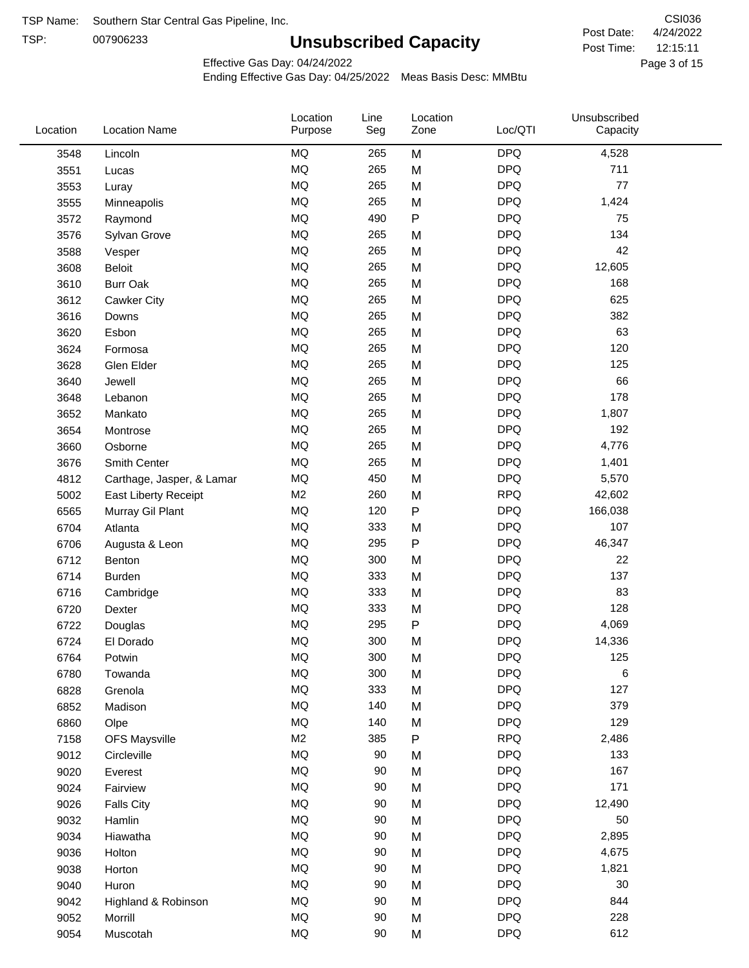TSP:

# **Unsubscribed Capacity**

4/24/2022 Page 3 of 15 12:15:11 CSI036 Post Date: Post Time:

Effective Gas Day: 04/24/2022

| Location | <b>Location Name</b>      | Location<br>Purpose | Line<br>Seg | Location<br>Zone | Loc/QTI    | Unsubscribed<br>Capacity |  |
|----------|---------------------------|---------------------|-------------|------------------|------------|--------------------------|--|
| 3548     | Lincoln                   | MQ                  | 265         | M                | <b>DPQ</b> | 4,528                    |  |
| 3551     | Lucas                     | MQ                  | 265         | M                | <b>DPQ</b> | 711                      |  |
| 3553     | Luray                     | MQ                  | 265         | M                | <b>DPQ</b> | 77                       |  |
| 3555     | Minneapolis               | MQ                  | 265         | M                | <b>DPQ</b> | 1,424                    |  |
| 3572     | Raymond                   | <b>MQ</b>           | 490         | P                | <b>DPQ</b> | 75                       |  |
| 3576     | Sylvan Grove              | <b>MQ</b>           | 265         | M                | <b>DPQ</b> | 134                      |  |
| 3588     | Vesper                    | MQ                  | 265         | M                | <b>DPQ</b> | 42                       |  |
| 3608     | Beloit                    | MQ                  | 265         | M                | <b>DPQ</b> | 12,605                   |  |
| 3610     | <b>Burr Oak</b>           | MQ                  | 265         | M                | <b>DPQ</b> | 168                      |  |
| 3612     | Cawker City               | MQ                  | 265         | M                | <b>DPQ</b> | 625                      |  |
| 3616     | Downs                     | MQ                  | 265         | M                | <b>DPQ</b> | 382                      |  |
| 3620     | Esbon                     | MQ                  | 265         | M                | <b>DPQ</b> | 63                       |  |
| 3624     | Formosa                   | MQ                  | 265         | M                | <b>DPQ</b> | 120                      |  |
| 3628     | Glen Elder                | <b>MQ</b>           | 265         | M                | <b>DPQ</b> | 125                      |  |
| 3640     | Jewell                    | MQ                  | 265         | M                | <b>DPQ</b> | 66                       |  |
| 3648     | Lebanon                   | MQ                  | 265         | M                | <b>DPQ</b> | 178                      |  |
| 3652     | Mankato                   | MQ                  | 265         | M                | <b>DPQ</b> | 1,807                    |  |
| 3654     | Montrose                  | MQ                  | 265         | M                | <b>DPQ</b> | 192                      |  |
| 3660     | Osborne                   | MQ                  | 265         | M                | <b>DPQ</b> | 4,776                    |  |
| 3676     | Smith Center              | MQ                  | 265         | M                | <b>DPQ</b> | 1,401                    |  |
| 4812     | Carthage, Jasper, & Lamar | MQ                  | 450         | M                | <b>DPQ</b> | 5,570                    |  |
| 5002     | East Liberty Receipt      | M <sub>2</sub>      | 260         | M                | <b>RPQ</b> | 42,602                   |  |
| 6565     | Murray Gil Plant          | MQ                  | 120         | $\mathsf{P}$     | <b>DPQ</b> | 166,038                  |  |
| 6704     | Atlanta                   | MQ                  | 333         | M                | <b>DPQ</b> | 107                      |  |
| 6706     | Augusta & Leon            | MQ                  | 295         | ${\sf P}$        | <b>DPQ</b> | 46,347                   |  |
| 6712     | Benton                    | MQ                  | 300         | M                | <b>DPQ</b> | 22                       |  |
| 6714     | <b>Burden</b>             | MQ                  | 333         | M                | <b>DPQ</b> | 137                      |  |
| 6716     | Cambridge                 | MQ                  | 333         | M                | <b>DPQ</b> | 83                       |  |
| 6720     | Dexter                    | MQ                  | 333         | M                | <b>DPQ</b> | 128                      |  |
| 6722     | Douglas                   | $\sf{MQ}$           | 295         | P                | <b>DPQ</b> | 4,069                    |  |
| 6724     | El Dorado                 | <b>MQ</b>           | 300         | M                | <b>DPQ</b> | 14,336                   |  |
| 6764     | Potwin                    | $\sf{MQ}$           | 300         | M                | <b>DPQ</b> | 125                      |  |
| 6780     | Towanda                   | MQ                  | 300         | M                | <b>DPQ</b> | 6                        |  |
| 6828     | Grenola                   | MQ                  | 333         | M                | <b>DPQ</b> | 127                      |  |
| 6852     | Madison                   | MQ                  | 140         | M                | <b>DPQ</b> | 379                      |  |
| 6860     | Olpe                      | MQ                  | 140         | M                | <b>DPQ</b> | 129                      |  |
| 7158     | <b>OFS Maysville</b>      | M <sub>2</sub>      | 385         | P                | <b>RPQ</b> | 2,486                    |  |
| 9012     | Circleville               | MQ                  | 90          | M                | <b>DPQ</b> | 133                      |  |
| 9020     | Everest                   | $\sf{MQ}$           | 90          | M                | <b>DPQ</b> | 167                      |  |
| 9024     | Fairview                  | MQ                  | 90          | M                | <b>DPQ</b> | 171                      |  |
| 9026     | <b>Falls City</b>         | MQ                  | 90          | M                | <b>DPQ</b> | 12,490                   |  |
| 9032     | Hamlin                    | MQ                  | 90          | M                | <b>DPQ</b> | 50                       |  |
| 9034     | Hiawatha                  | MQ                  | 90          | M                | <b>DPQ</b> | 2,895                    |  |
| 9036     | Holton                    | MQ                  | 90          | M                | <b>DPQ</b> | 4,675                    |  |
| 9038     | Horton                    | MQ                  | 90          | M                | <b>DPQ</b> | 1,821                    |  |
| 9040     | Huron                     | MQ                  | 90          | M                | <b>DPQ</b> | 30                       |  |
| 9042     | Highland & Robinson       | MQ                  | 90          | M                | <b>DPQ</b> | 844                      |  |
| 9052     | Morrill                   | $\sf{MQ}$           | 90          | M                | <b>DPQ</b> | 228                      |  |
| 9054     | Muscotah                  | $\sf{MQ}$           | 90          | M                | <b>DPQ</b> | 612                      |  |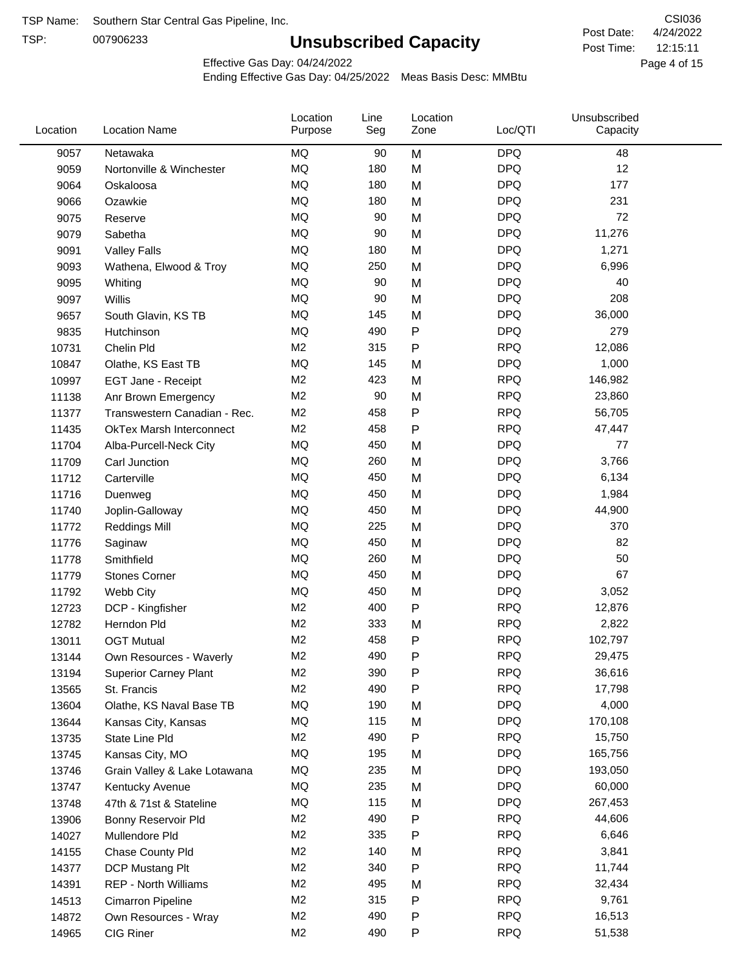TSP:

# **Unsubscribed Capacity**

4/24/2022 Page 4 of 15 12:15:11 CSI036 Post Date: Post Time:

Effective Gas Day: 04/24/2022

| Location | <b>Location Name</b>            | Location<br>Purpose | Line<br>Seg | Location<br>Zone | Loc/QTI    | Unsubscribed<br>Capacity |  |
|----------|---------------------------------|---------------------|-------------|------------------|------------|--------------------------|--|
| 9057     | Netawaka                        | MQ                  | 90          | M                | <b>DPQ</b> | 48                       |  |
| 9059     | Nortonville & Winchester        | <b>MQ</b>           | 180         | M                | <b>DPQ</b> | 12                       |  |
| 9064     | Oskaloosa                       | MQ                  | 180         | M                | <b>DPQ</b> | 177                      |  |
| 9066     | Ozawkie                         | <b>MQ</b>           | 180         | M                | <b>DPQ</b> | 231                      |  |
| 9075     | Reserve                         | <b>MQ</b>           | 90          | M                | <b>DPQ</b> | 72                       |  |
| 9079     | Sabetha                         | <b>MQ</b>           | 90          | M                | <b>DPQ</b> | 11,276                   |  |
| 9091     | <b>Valley Falls</b>             | <b>MQ</b>           | 180         | M                | <b>DPQ</b> | 1,271                    |  |
| 9093     | Wathena, Elwood & Troy          | <b>MQ</b>           | 250         | M                | <b>DPQ</b> | 6,996                    |  |
| 9095     | Whiting                         | MQ                  | 90          | M                | <b>DPQ</b> | 40                       |  |
| 9097     | Willis                          | <b>MQ</b>           | 90          | M                | <b>DPQ</b> | 208                      |  |
| 9657     | South Glavin, KS TB             | <b>MQ</b>           | 145         | M                | <b>DPQ</b> | 36,000                   |  |
| 9835     | Hutchinson                      | MQ                  | 490         | P                | <b>DPQ</b> | 279                      |  |
| 10731    | Chelin Pld                      | M <sub>2</sub>      | 315         | P                | <b>RPQ</b> | 12,086                   |  |
| 10847    | Olathe, KS East TB              | <b>MQ</b>           | 145         | M                | <b>DPQ</b> | 1,000                    |  |
| 10997    | EGT Jane - Receipt              | M <sub>2</sub>      | 423         | M                | <b>RPQ</b> | 146,982                  |  |
| 11138    | Anr Brown Emergency             | M <sub>2</sub>      | 90          | M                | <b>RPQ</b> | 23,860                   |  |
| 11377    | Transwestern Canadian - Rec.    | M <sub>2</sub>      | 458         | P                | <b>RPQ</b> | 56,705                   |  |
| 11435    | <b>OkTex Marsh Interconnect</b> | M <sub>2</sub>      | 458         | $\mathsf{P}$     | <b>RPQ</b> | 47,447                   |  |
| 11704    | Alba-Purcell-Neck City          | <b>MQ</b>           | 450         | M                | <b>DPQ</b> | 77                       |  |
| 11709    | Carl Junction                   | MQ                  | 260         | M                | <b>DPQ</b> | 3,766                    |  |
| 11712    | Carterville                     | <b>MQ</b>           | 450         | M                | <b>DPQ</b> | 6,134                    |  |
| 11716    | Duenweg                         | <b>MQ</b>           | 450         | M                | <b>DPQ</b> | 1,984                    |  |
| 11740    | Joplin-Galloway                 | <b>MQ</b>           | 450         | M                | <b>DPQ</b> | 44,900                   |  |
| 11772    | <b>Reddings Mill</b>            | <b>MQ</b>           | 225         | M                | <b>DPQ</b> | 370                      |  |
| 11776    | Saginaw                         | <b>MQ</b>           | 450         | M                | <b>DPQ</b> | 82                       |  |
| 11778    | Smithfield                      | <b>MQ</b>           | 260         | M                | <b>DPQ</b> | 50                       |  |
| 11779    | <b>Stones Corner</b>            | <b>MQ</b>           | 450         | M                | <b>DPQ</b> | 67                       |  |
| 11792    | Webb City                       | <b>MQ</b>           | 450         | M                | <b>DPQ</b> | 3,052                    |  |
| 12723    | DCP - Kingfisher                | M <sub>2</sub>      | 400         | ${\sf P}$        | <b>RPQ</b> | 12,876                   |  |
| 12782    | Herndon Pld                     | M <sub>2</sub>      | 333         | M                | <b>RPQ</b> | 2,822                    |  |
| 13011    | <b>OGT Mutual</b>               | M <sub>2</sub>      | 458         | P                | <b>RPQ</b> | 102,797                  |  |
| 13144    | Own Resources - Waverly         | M <sub>2</sub>      | 490         | P                | <b>RPQ</b> | 29,475                   |  |
| 13194    | <b>Superior Carney Plant</b>    | M <sub>2</sub>      | 390         | P                | <b>RPQ</b> | 36,616                   |  |
| 13565    | St. Francis                     | M <sub>2</sub>      | 490         | Ρ                | <b>RPQ</b> | 17,798                   |  |
| 13604    | Olathe, KS Naval Base TB        | MQ                  | 190         | M                | <b>DPQ</b> | 4,000                    |  |
| 13644    | Kansas City, Kansas             | MQ                  | 115         | M                | <b>DPQ</b> | 170,108                  |  |
| 13735    | State Line Pld                  | M <sub>2</sub>      | 490         | P                | <b>RPQ</b> | 15,750                   |  |
| 13745    | Kansas City, MO                 | MQ                  | 195         | M                | <b>DPQ</b> | 165,756                  |  |
| 13746    | Grain Valley & Lake Lotawana    | MQ                  | 235         | M                | <b>DPQ</b> | 193,050                  |  |
| 13747    | Kentucky Avenue                 | MQ                  | 235         | M                | <b>DPQ</b> | 60,000                   |  |
| 13748    | 47th & 71st & Stateline         | MQ                  | 115         | M                | <b>DPQ</b> | 267,453                  |  |
| 13906    | Bonny Reservoir Pld             | M <sub>2</sub>      | 490         | P                | <b>RPQ</b> | 44,606                   |  |
| 14027    | Mullendore Pld                  | M <sub>2</sub>      | 335         | Ρ                | <b>RPQ</b> | 6,646                    |  |
| 14155    | Chase County Pld                | M <sub>2</sub>      | 140         | M                | <b>RPQ</b> | 3,841                    |  |
| 14377    | DCP Mustang Plt                 | M <sub>2</sub>      | 340         | Ρ                | <b>RPQ</b> | 11,744                   |  |
| 14391    | <b>REP - North Williams</b>     | M <sub>2</sub>      | 495         | M                | <b>RPQ</b> | 32,434                   |  |
| 14513    | Cimarron Pipeline               | M <sub>2</sub>      | 315         | ${\sf P}$        | <b>RPQ</b> | 9,761                    |  |
| 14872    | Own Resources - Wray            | M <sub>2</sub>      | 490         | P                | <b>RPQ</b> | 16,513                   |  |
| 14965    | CIG Riner                       | M <sub>2</sub>      | 490         | P                | <b>RPQ</b> | 51,538                   |  |
|          |                                 |                     |             |                  |            |                          |  |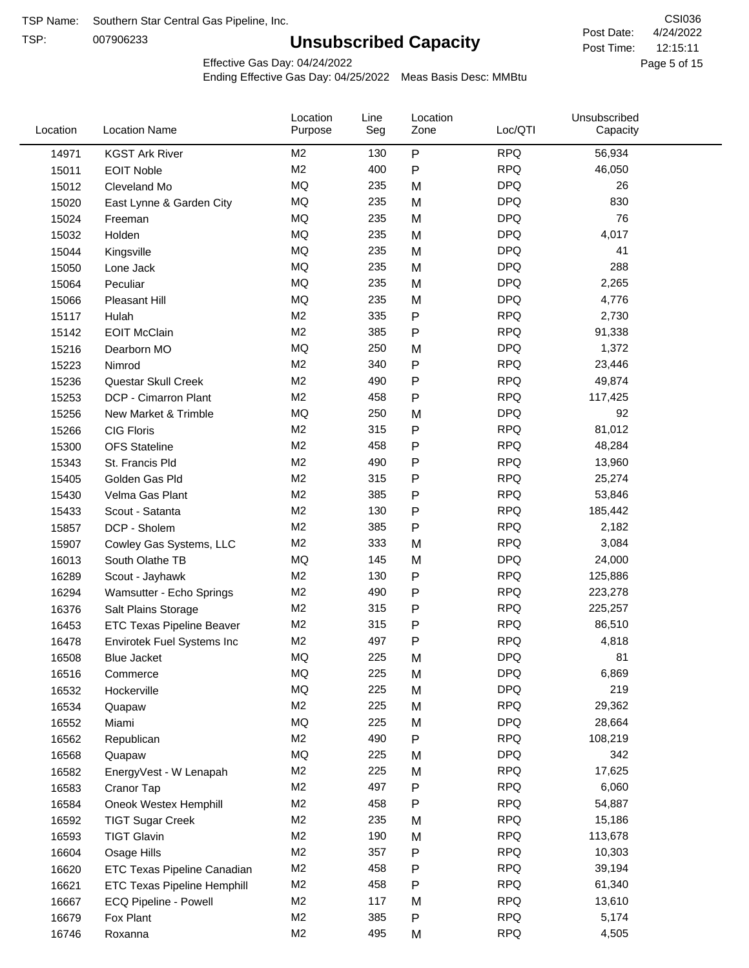TSP:

# **Unsubscribed Capacity**

4/24/2022 Page 5 of 15 12:15:11 CSI036 Post Date: Post Time:

Effective Gas Day: 04/24/2022

| P<br>M <sub>2</sub><br><b>RPQ</b><br>130<br>56,934<br>14971<br><b>KGST Ark River</b><br>M <sub>2</sub><br>400<br>P<br><b>RPQ</b><br>46,050<br>15011<br><b>EOIT Noble</b><br>MQ<br>235<br><b>DPQ</b><br>26<br>15012<br>M<br>Cleveland Mo<br><b>MQ</b><br><b>DPQ</b><br>830<br>235<br>M<br>15020<br>East Lynne & Garden City<br>MQ<br><b>DPQ</b><br>76<br>235<br>M<br>15024<br>Freeman<br>MQ<br><b>DPQ</b><br>235<br>4,017<br>M<br>15032<br>Holden<br>MQ<br><b>DPQ</b><br>235<br>41<br>M<br>15044<br>Kingsville<br>MQ<br><b>DPQ</b><br>288<br>235<br>M<br>15050<br>Lone Jack<br>MQ<br><b>DPQ</b><br>235<br>M<br>2,265<br>15064<br>Peculiar<br><b>MQ</b><br>235<br>M<br><b>DPQ</b><br>4,776<br>15066<br>Pleasant Hill<br>M <sub>2</sub><br>335<br>P<br><b>RPQ</b><br>2,730<br>15117<br>Hulah<br>M <sub>2</sub><br><b>RPQ</b><br>385<br>Ρ<br>91,338<br><b>EOIT McClain</b><br>15142<br><b>MQ</b><br><b>DPQ</b><br>250<br>1,372<br>15216<br>Dearborn MO<br>M<br>M <sub>2</sub><br>P<br><b>RPQ</b><br>340<br>23,446<br>15223<br>Nimrod<br>M <sub>2</sub><br><b>RPQ</b><br>490<br>P<br>49,874<br>15236<br>Questar Skull Creek<br>M <sub>2</sub><br><b>RPQ</b><br>458<br>Ρ<br>DCP - Cimarron Plant<br>117,425<br>15253<br>MQ<br>250<br><b>DPQ</b><br>92<br>15256<br>New Market & Trimble<br>M<br>M <sub>2</sub><br><b>RPQ</b><br>315<br>Ρ<br>81,012<br>15266<br><b>CIG Floris</b><br>M <sub>2</sub><br>458<br>P<br><b>RPQ</b><br>48,284<br>15300<br><b>OFS</b> Stateline<br>Ρ<br><b>RPQ</b><br>M <sub>2</sub><br>490<br>13,960<br>15343<br>St. Francis Pld<br>M <sub>2</sub><br><b>RPQ</b><br>315<br>25,274<br>Ρ<br>15405<br>Golden Gas Pld<br>M <sub>2</sub><br><b>RPQ</b><br>385<br>Ρ<br>53,846<br>15430<br>Velma Gas Plant<br>M <sub>2</sub><br><b>RPQ</b><br>130<br>P<br>185,442<br>Scout - Satanta<br>15433<br>M <sub>2</sub><br>P<br><b>RPQ</b><br>385<br>2,182<br>15857<br>DCP - Sholem<br><b>RPQ</b><br>M <sub>2</sub><br>333<br>3,084<br>M<br>15907<br>Cowley Gas Systems, LLC<br>MQ<br>145<br><b>DPQ</b><br>24,000<br>16013<br>South Olathe TB<br>M<br>P<br><b>RPQ</b><br>M <sub>2</sub><br>130<br>125,886<br>16289<br>Scout - Jayhawk<br>M <sub>2</sub><br><b>RPQ</b><br>490<br>Ρ<br>223,278<br>16294<br>Wamsutter - Echo Springs<br>P<br><b>RPQ</b><br>M <sub>2</sub><br>315<br>225,257<br>16376<br>Salt Plains Storage<br><b>RPQ</b><br>M <sub>2</sub><br>315<br>86,510<br>Ρ<br>16453<br><b>ETC Texas Pipeline Beaver</b><br>M <sub>2</sub><br>Ρ<br><b>RPQ</b><br>497<br>4,818<br>16478<br>Envirotek Fuel Systems Inc<br>MQ<br>225<br><b>DPQ</b><br>16508<br>81<br>M<br><b>Blue Jacket</b><br>MQ<br><b>DPQ</b><br>6,869<br>225<br>M<br>16516<br>Commerce<br><b>DPQ</b><br>219<br>MQ<br>225<br>M<br>16532<br>Hockerville<br><b>RPQ</b><br>M <sub>2</sub><br>225<br>29,362<br>M<br>16534<br>Quapaw<br>MQ<br><b>DPQ</b><br>225<br>28,664<br>16552<br>Miami<br>M<br>M <sub>2</sub><br>490<br><b>RPQ</b><br>Ρ<br>108,219<br>16562<br>Republican<br>MQ<br><b>DPQ</b><br>225<br>342<br>16568<br>M<br>Quapaw<br>M <sub>2</sub><br>225<br><b>RPQ</b><br>17,625<br>M<br>16582<br>EnergyVest - W Lenapah<br>M <sub>2</sub><br>497<br>P<br><b>RPQ</b><br>6,060<br>16583<br>Cranor Tap<br><b>RPQ</b><br>M <sub>2</sub><br>458<br>Ρ<br>54,887<br>16584<br>Oneok Westex Hemphill<br>M <sub>2</sub><br>235<br><b>RPQ</b><br>15,186<br>M<br>16592<br><b>TIGT Sugar Creek</b><br>M <sub>2</sub><br>190<br><b>RPQ</b><br>113,678<br>16593<br><b>TIGT Glavin</b><br>M<br>M <sub>2</sub><br><b>RPQ</b><br>357<br>10,303<br>Ρ<br>16604<br>Osage Hills<br><b>RPQ</b><br>M <sub>2</sub><br>458<br>39,194<br>16620<br><b>ETC Texas Pipeline Canadian</b><br>Ρ<br>M <sub>2</sub><br><b>RPQ</b><br>458<br>Ρ<br>61,340<br>16621<br><b>ETC Texas Pipeline Hemphill</b><br>M <sub>2</sub><br>117<br><b>RPQ</b><br>13,610<br>16667<br>ECQ Pipeline - Powell<br>M<br>M <sub>2</sub><br>385<br><b>RPQ</b><br>5,174<br>P<br>16679<br>Fox Plant<br>M2<br><b>RPQ</b><br>495<br>4,505<br>16746<br>M<br>Roxanna | Location | <b>Location Name</b> | Location<br>Purpose | Line<br>Seg | Location<br>Zone | Loc/QTI | Unsubscribed<br>Capacity |  |
|--------------------------------------------------------------------------------------------------------------------------------------------------------------------------------------------------------------------------------------------------------------------------------------------------------------------------------------------------------------------------------------------------------------------------------------------------------------------------------------------------------------------------------------------------------------------------------------------------------------------------------------------------------------------------------------------------------------------------------------------------------------------------------------------------------------------------------------------------------------------------------------------------------------------------------------------------------------------------------------------------------------------------------------------------------------------------------------------------------------------------------------------------------------------------------------------------------------------------------------------------------------------------------------------------------------------------------------------------------------------------------------------------------------------------------------------------------------------------------------------------------------------------------------------------------------------------------------------------------------------------------------------------------------------------------------------------------------------------------------------------------------------------------------------------------------------------------------------------------------------------------------------------------------------------------------------------------------------------------------------------------------------------------------------------------------------------------------------------------------------------------------------------------------------------------------------------------------------------------------------------------------------------------------------------------------------------------------------------------------------------------------------------------------------------------------------------------------------------------------------------------------------------------------------------------------------------------------------------------------------------------------------------------------------------------------------------------------------------------------------------------------------------------------------------------------------------------------------------------------------------------------------------------------------------------------------------------------------------------------------------------------------------------------------------------------------------------------------------------------------------------------------------------------------------------------------------------------------------------------------------------------------------------------------------------------------------------------------------------------------------------------------------------------------------------------------------------------------------------------------------------------------------------------------------------------------------------------------------------------------------------------------------------------------------------------------------------------------------------------------------------------------------------------------------------------------------------------------------------------------------------------------------------------------------------------------------------------------------------|----------|----------------------|---------------------|-------------|------------------|---------|--------------------------|--|
|                                                                                                                                                                                                                                                                                                                                                                                                                                                                                                                                                                                                                                                                                                                                                                                                                                                                                                                                                                                                                                                                                                                                                                                                                                                                                                                                                                                                                                                                                                                                                                                                                                                                                                                                                                                                                                                                                                                                                                                                                                                                                                                                                                                                                                                                                                                                                                                                                                                                                                                                                                                                                                                                                                                                                                                                                                                                                                                                                                                                                                                                                                                                                                                                                                                                                                                                                                                                                                                                                                                                                                                                                                                                                                                                                                                                                                                                                                                                                                                |          |                      |                     |             |                  |         |                          |  |
|                                                                                                                                                                                                                                                                                                                                                                                                                                                                                                                                                                                                                                                                                                                                                                                                                                                                                                                                                                                                                                                                                                                                                                                                                                                                                                                                                                                                                                                                                                                                                                                                                                                                                                                                                                                                                                                                                                                                                                                                                                                                                                                                                                                                                                                                                                                                                                                                                                                                                                                                                                                                                                                                                                                                                                                                                                                                                                                                                                                                                                                                                                                                                                                                                                                                                                                                                                                                                                                                                                                                                                                                                                                                                                                                                                                                                                                                                                                                                                                |          |                      |                     |             |                  |         |                          |  |
|                                                                                                                                                                                                                                                                                                                                                                                                                                                                                                                                                                                                                                                                                                                                                                                                                                                                                                                                                                                                                                                                                                                                                                                                                                                                                                                                                                                                                                                                                                                                                                                                                                                                                                                                                                                                                                                                                                                                                                                                                                                                                                                                                                                                                                                                                                                                                                                                                                                                                                                                                                                                                                                                                                                                                                                                                                                                                                                                                                                                                                                                                                                                                                                                                                                                                                                                                                                                                                                                                                                                                                                                                                                                                                                                                                                                                                                                                                                                                                                |          |                      |                     |             |                  |         |                          |  |
|                                                                                                                                                                                                                                                                                                                                                                                                                                                                                                                                                                                                                                                                                                                                                                                                                                                                                                                                                                                                                                                                                                                                                                                                                                                                                                                                                                                                                                                                                                                                                                                                                                                                                                                                                                                                                                                                                                                                                                                                                                                                                                                                                                                                                                                                                                                                                                                                                                                                                                                                                                                                                                                                                                                                                                                                                                                                                                                                                                                                                                                                                                                                                                                                                                                                                                                                                                                                                                                                                                                                                                                                                                                                                                                                                                                                                                                                                                                                                                                |          |                      |                     |             |                  |         |                          |  |
|                                                                                                                                                                                                                                                                                                                                                                                                                                                                                                                                                                                                                                                                                                                                                                                                                                                                                                                                                                                                                                                                                                                                                                                                                                                                                                                                                                                                                                                                                                                                                                                                                                                                                                                                                                                                                                                                                                                                                                                                                                                                                                                                                                                                                                                                                                                                                                                                                                                                                                                                                                                                                                                                                                                                                                                                                                                                                                                                                                                                                                                                                                                                                                                                                                                                                                                                                                                                                                                                                                                                                                                                                                                                                                                                                                                                                                                                                                                                                                                |          |                      |                     |             |                  |         |                          |  |
|                                                                                                                                                                                                                                                                                                                                                                                                                                                                                                                                                                                                                                                                                                                                                                                                                                                                                                                                                                                                                                                                                                                                                                                                                                                                                                                                                                                                                                                                                                                                                                                                                                                                                                                                                                                                                                                                                                                                                                                                                                                                                                                                                                                                                                                                                                                                                                                                                                                                                                                                                                                                                                                                                                                                                                                                                                                                                                                                                                                                                                                                                                                                                                                                                                                                                                                                                                                                                                                                                                                                                                                                                                                                                                                                                                                                                                                                                                                                                                                |          |                      |                     |             |                  |         |                          |  |
|                                                                                                                                                                                                                                                                                                                                                                                                                                                                                                                                                                                                                                                                                                                                                                                                                                                                                                                                                                                                                                                                                                                                                                                                                                                                                                                                                                                                                                                                                                                                                                                                                                                                                                                                                                                                                                                                                                                                                                                                                                                                                                                                                                                                                                                                                                                                                                                                                                                                                                                                                                                                                                                                                                                                                                                                                                                                                                                                                                                                                                                                                                                                                                                                                                                                                                                                                                                                                                                                                                                                                                                                                                                                                                                                                                                                                                                                                                                                                                                |          |                      |                     |             |                  |         |                          |  |
|                                                                                                                                                                                                                                                                                                                                                                                                                                                                                                                                                                                                                                                                                                                                                                                                                                                                                                                                                                                                                                                                                                                                                                                                                                                                                                                                                                                                                                                                                                                                                                                                                                                                                                                                                                                                                                                                                                                                                                                                                                                                                                                                                                                                                                                                                                                                                                                                                                                                                                                                                                                                                                                                                                                                                                                                                                                                                                                                                                                                                                                                                                                                                                                                                                                                                                                                                                                                                                                                                                                                                                                                                                                                                                                                                                                                                                                                                                                                                                                |          |                      |                     |             |                  |         |                          |  |
|                                                                                                                                                                                                                                                                                                                                                                                                                                                                                                                                                                                                                                                                                                                                                                                                                                                                                                                                                                                                                                                                                                                                                                                                                                                                                                                                                                                                                                                                                                                                                                                                                                                                                                                                                                                                                                                                                                                                                                                                                                                                                                                                                                                                                                                                                                                                                                                                                                                                                                                                                                                                                                                                                                                                                                                                                                                                                                                                                                                                                                                                                                                                                                                                                                                                                                                                                                                                                                                                                                                                                                                                                                                                                                                                                                                                                                                                                                                                                                                |          |                      |                     |             |                  |         |                          |  |
|                                                                                                                                                                                                                                                                                                                                                                                                                                                                                                                                                                                                                                                                                                                                                                                                                                                                                                                                                                                                                                                                                                                                                                                                                                                                                                                                                                                                                                                                                                                                                                                                                                                                                                                                                                                                                                                                                                                                                                                                                                                                                                                                                                                                                                                                                                                                                                                                                                                                                                                                                                                                                                                                                                                                                                                                                                                                                                                                                                                                                                                                                                                                                                                                                                                                                                                                                                                                                                                                                                                                                                                                                                                                                                                                                                                                                                                                                                                                                                                |          |                      |                     |             |                  |         |                          |  |
|                                                                                                                                                                                                                                                                                                                                                                                                                                                                                                                                                                                                                                                                                                                                                                                                                                                                                                                                                                                                                                                                                                                                                                                                                                                                                                                                                                                                                                                                                                                                                                                                                                                                                                                                                                                                                                                                                                                                                                                                                                                                                                                                                                                                                                                                                                                                                                                                                                                                                                                                                                                                                                                                                                                                                                                                                                                                                                                                                                                                                                                                                                                                                                                                                                                                                                                                                                                                                                                                                                                                                                                                                                                                                                                                                                                                                                                                                                                                                                                |          |                      |                     |             |                  |         |                          |  |
|                                                                                                                                                                                                                                                                                                                                                                                                                                                                                                                                                                                                                                                                                                                                                                                                                                                                                                                                                                                                                                                                                                                                                                                                                                                                                                                                                                                                                                                                                                                                                                                                                                                                                                                                                                                                                                                                                                                                                                                                                                                                                                                                                                                                                                                                                                                                                                                                                                                                                                                                                                                                                                                                                                                                                                                                                                                                                                                                                                                                                                                                                                                                                                                                                                                                                                                                                                                                                                                                                                                                                                                                                                                                                                                                                                                                                                                                                                                                                                                |          |                      |                     |             |                  |         |                          |  |
|                                                                                                                                                                                                                                                                                                                                                                                                                                                                                                                                                                                                                                                                                                                                                                                                                                                                                                                                                                                                                                                                                                                                                                                                                                                                                                                                                                                                                                                                                                                                                                                                                                                                                                                                                                                                                                                                                                                                                                                                                                                                                                                                                                                                                                                                                                                                                                                                                                                                                                                                                                                                                                                                                                                                                                                                                                                                                                                                                                                                                                                                                                                                                                                                                                                                                                                                                                                                                                                                                                                                                                                                                                                                                                                                                                                                                                                                                                                                                                                |          |                      |                     |             |                  |         |                          |  |
|                                                                                                                                                                                                                                                                                                                                                                                                                                                                                                                                                                                                                                                                                                                                                                                                                                                                                                                                                                                                                                                                                                                                                                                                                                                                                                                                                                                                                                                                                                                                                                                                                                                                                                                                                                                                                                                                                                                                                                                                                                                                                                                                                                                                                                                                                                                                                                                                                                                                                                                                                                                                                                                                                                                                                                                                                                                                                                                                                                                                                                                                                                                                                                                                                                                                                                                                                                                                                                                                                                                                                                                                                                                                                                                                                                                                                                                                                                                                                                                |          |                      |                     |             |                  |         |                          |  |
|                                                                                                                                                                                                                                                                                                                                                                                                                                                                                                                                                                                                                                                                                                                                                                                                                                                                                                                                                                                                                                                                                                                                                                                                                                                                                                                                                                                                                                                                                                                                                                                                                                                                                                                                                                                                                                                                                                                                                                                                                                                                                                                                                                                                                                                                                                                                                                                                                                                                                                                                                                                                                                                                                                                                                                                                                                                                                                                                                                                                                                                                                                                                                                                                                                                                                                                                                                                                                                                                                                                                                                                                                                                                                                                                                                                                                                                                                                                                                                                |          |                      |                     |             |                  |         |                          |  |
|                                                                                                                                                                                                                                                                                                                                                                                                                                                                                                                                                                                                                                                                                                                                                                                                                                                                                                                                                                                                                                                                                                                                                                                                                                                                                                                                                                                                                                                                                                                                                                                                                                                                                                                                                                                                                                                                                                                                                                                                                                                                                                                                                                                                                                                                                                                                                                                                                                                                                                                                                                                                                                                                                                                                                                                                                                                                                                                                                                                                                                                                                                                                                                                                                                                                                                                                                                                                                                                                                                                                                                                                                                                                                                                                                                                                                                                                                                                                                                                |          |                      |                     |             |                  |         |                          |  |
|                                                                                                                                                                                                                                                                                                                                                                                                                                                                                                                                                                                                                                                                                                                                                                                                                                                                                                                                                                                                                                                                                                                                                                                                                                                                                                                                                                                                                                                                                                                                                                                                                                                                                                                                                                                                                                                                                                                                                                                                                                                                                                                                                                                                                                                                                                                                                                                                                                                                                                                                                                                                                                                                                                                                                                                                                                                                                                                                                                                                                                                                                                                                                                                                                                                                                                                                                                                                                                                                                                                                                                                                                                                                                                                                                                                                                                                                                                                                                                                |          |                      |                     |             |                  |         |                          |  |
|                                                                                                                                                                                                                                                                                                                                                                                                                                                                                                                                                                                                                                                                                                                                                                                                                                                                                                                                                                                                                                                                                                                                                                                                                                                                                                                                                                                                                                                                                                                                                                                                                                                                                                                                                                                                                                                                                                                                                                                                                                                                                                                                                                                                                                                                                                                                                                                                                                                                                                                                                                                                                                                                                                                                                                                                                                                                                                                                                                                                                                                                                                                                                                                                                                                                                                                                                                                                                                                                                                                                                                                                                                                                                                                                                                                                                                                                                                                                                                                |          |                      |                     |             |                  |         |                          |  |
|                                                                                                                                                                                                                                                                                                                                                                                                                                                                                                                                                                                                                                                                                                                                                                                                                                                                                                                                                                                                                                                                                                                                                                                                                                                                                                                                                                                                                                                                                                                                                                                                                                                                                                                                                                                                                                                                                                                                                                                                                                                                                                                                                                                                                                                                                                                                                                                                                                                                                                                                                                                                                                                                                                                                                                                                                                                                                                                                                                                                                                                                                                                                                                                                                                                                                                                                                                                                                                                                                                                                                                                                                                                                                                                                                                                                                                                                                                                                                                                |          |                      |                     |             |                  |         |                          |  |
|                                                                                                                                                                                                                                                                                                                                                                                                                                                                                                                                                                                                                                                                                                                                                                                                                                                                                                                                                                                                                                                                                                                                                                                                                                                                                                                                                                                                                                                                                                                                                                                                                                                                                                                                                                                                                                                                                                                                                                                                                                                                                                                                                                                                                                                                                                                                                                                                                                                                                                                                                                                                                                                                                                                                                                                                                                                                                                                                                                                                                                                                                                                                                                                                                                                                                                                                                                                                                                                                                                                                                                                                                                                                                                                                                                                                                                                                                                                                                                                |          |                      |                     |             |                  |         |                          |  |
|                                                                                                                                                                                                                                                                                                                                                                                                                                                                                                                                                                                                                                                                                                                                                                                                                                                                                                                                                                                                                                                                                                                                                                                                                                                                                                                                                                                                                                                                                                                                                                                                                                                                                                                                                                                                                                                                                                                                                                                                                                                                                                                                                                                                                                                                                                                                                                                                                                                                                                                                                                                                                                                                                                                                                                                                                                                                                                                                                                                                                                                                                                                                                                                                                                                                                                                                                                                                                                                                                                                                                                                                                                                                                                                                                                                                                                                                                                                                                                                |          |                      |                     |             |                  |         |                          |  |
|                                                                                                                                                                                                                                                                                                                                                                                                                                                                                                                                                                                                                                                                                                                                                                                                                                                                                                                                                                                                                                                                                                                                                                                                                                                                                                                                                                                                                                                                                                                                                                                                                                                                                                                                                                                                                                                                                                                                                                                                                                                                                                                                                                                                                                                                                                                                                                                                                                                                                                                                                                                                                                                                                                                                                                                                                                                                                                                                                                                                                                                                                                                                                                                                                                                                                                                                                                                                                                                                                                                                                                                                                                                                                                                                                                                                                                                                                                                                                                                |          |                      |                     |             |                  |         |                          |  |
|                                                                                                                                                                                                                                                                                                                                                                                                                                                                                                                                                                                                                                                                                                                                                                                                                                                                                                                                                                                                                                                                                                                                                                                                                                                                                                                                                                                                                                                                                                                                                                                                                                                                                                                                                                                                                                                                                                                                                                                                                                                                                                                                                                                                                                                                                                                                                                                                                                                                                                                                                                                                                                                                                                                                                                                                                                                                                                                                                                                                                                                                                                                                                                                                                                                                                                                                                                                                                                                                                                                                                                                                                                                                                                                                                                                                                                                                                                                                                                                |          |                      |                     |             |                  |         |                          |  |
|                                                                                                                                                                                                                                                                                                                                                                                                                                                                                                                                                                                                                                                                                                                                                                                                                                                                                                                                                                                                                                                                                                                                                                                                                                                                                                                                                                                                                                                                                                                                                                                                                                                                                                                                                                                                                                                                                                                                                                                                                                                                                                                                                                                                                                                                                                                                                                                                                                                                                                                                                                                                                                                                                                                                                                                                                                                                                                                                                                                                                                                                                                                                                                                                                                                                                                                                                                                                                                                                                                                                                                                                                                                                                                                                                                                                                                                                                                                                                                                |          |                      |                     |             |                  |         |                          |  |
|                                                                                                                                                                                                                                                                                                                                                                                                                                                                                                                                                                                                                                                                                                                                                                                                                                                                                                                                                                                                                                                                                                                                                                                                                                                                                                                                                                                                                                                                                                                                                                                                                                                                                                                                                                                                                                                                                                                                                                                                                                                                                                                                                                                                                                                                                                                                                                                                                                                                                                                                                                                                                                                                                                                                                                                                                                                                                                                                                                                                                                                                                                                                                                                                                                                                                                                                                                                                                                                                                                                                                                                                                                                                                                                                                                                                                                                                                                                                                                                |          |                      |                     |             |                  |         |                          |  |
|                                                                                                                                                                                                                                                                                                                                                                                                                                                                                                                                                                                                                                                                                                                                                                                                                                                                                                                                                                                                                                                                                                                                                                                                                                                                                                                                                                                                                                                                                                                                                                                                                                                                                                                                                                                                                                                                                                                                                                                                                                                                                                                                                                                                                                                                                                                                                                                                                                                                                                                                                                                                                                                                                                                                                                                                                                                                                                                                                                                                                                                                                                                                                                                                                                                                                                                                                                                                                                                                                                                                                                                                                                                                                                                                                                                                                                                                                                                                                                                |          |                      |                     |             |                  |         |                          |  |
|                                                                                                                                                                                                                                                                                                                                                                                                                                                                                                                                                                                                                                                                                                                                                                                                                                                                                                                                                                                                                                                                                                                                                                                                                                                                                                                                                                                                                                                                                                                                                                                                                                                                                                                                                                                                                                                                                                                                                                                                                                                                                                                                                                                                                                                                                                                                                                                                                                                                                                                                                                                                                                                                                                                                                                                                                                                                                                                                                                                                                                                                                                                                                                                                                                                                                                                                                                                                                                                                                                                                                                                                                                                                                                                                                                                                                                                                                                                                                                                |          |                      |                     |             |                  |         |                          |  |
|                                                                                                                                                                                                                                                                                                                                                                                                                                                                                                                                                                                                                                                                                                                                                                                                                                                                                                                                                                                                                                                                                                                                                                                                                                                                                                                                                                                                                                                                                                                                                                                                                                                                                                                                                                                                                                                                                                                                                                                                                                                                                                                                                                                                                                                                                                                                                                                                                                                                                                                                                                                                                                                                                                                                                                                                                                                                                                                                                                                                                                                                                                                                                                                                                                                                                                                                                                                                                                                                                                                                                                                                                                                                                                                                                                                                                                                                                                                                                                                |          |                      |                     |             |                  |         |                          |  |
|                                                                                                                                                                                                                                                                                                                                                                                                                                                                                                                                                                                                                                                                                                                                                                                                                                                                                                                                                                                                                                                                                                                                                                                                                                                                                                                                                                                                                                                                                                                                                                                                                                                                                                                                                                                                                                                                                                                                                                                                                                                                                                                                                                                                                                                                                                                                                                                                                                                                                                                                                                                                                                                                                                                                                                                                                                                                                                                                                                                                                                                                                                                                                                                                                                                                                                                                                                                                                                                                                                                                                                                                                                                                                                                                                                                                                                                                                                                                                                                |          |                      |                     |             |                  |         |                          |  |
|                                                                                                                                                                                                                                                                                                                                                                                                                                                                                                                                                                                                                                                                                                                                                                                                                                                                                                                                                                                                                                                                                                                                                                                                                                                                                                                                                                                                                                                                                                                                                                                                                                                                                                                                                                                                                                                                                                                                                                                                                                                                                                                                                                                                                                                                                                                                                                                                                                                                                                                                                                                                                                                                                                                                                                                                                                                                                                                                                                                                                                                                                                                                                                                                                                                                                                                                                                                                                                                                                                                                                                                                                                                                                                                                                                                                                                                                                                                                                                                |          |                      |                     |             |                  |         |                          |  |
|                                                                                                                                                                                                                                                                                                                                                                                                                                                                                                                                                                                                                                                                                                                                                                                                                                                                                                                                                                                                                                                                                                                                                                                                                                                                                                                                                                                                                                                                                                                                                                                                                                                                                                                                                                                                                                                                                                                                                                                                                                                                                                                                                                                                                                                                                                                                                                                                                                                                                                                                                                                                                                                                                                                                                                                                                                                                                                                                                                                                                                                                                                                                                                                                                                                                                                                                                                                                                                                                                                                                                                                                                                                                                                                                                                                                                                                                                                                                                                                |          |                      |                     |             |                  |         |                          |  |
|                                                                                                                                                                                                                                                                                                                                                                                                                                                                                                                                                                                                                                                                                                                                                                                                                                                                                                                                                                                                                                                                                                                                                                                                                                                                                                                                                                                                                                                                                                                                                                                                                                                                                                                                                                                                                                                                                                                                                                                                                                                                                                                                                                                                                                                                                                                                                                                                                                                                                                                                                                                                                                                                                                                                                                                                                                                                                                                                                                                                                                                                                                                                                                                                                                                                                                                                                                                                                                                                                                                                                                                                                                                                                                                                                                                                                                                                                                                                                                                |          |                      |                     |             |                  |         |                          |  |
|                                                                                                                                                                                                                                                                                                                                                                                                                                                                                                                                                                                                                                                                                                                                                                                                                                                                                                                                                                                                                                                                                                                                                                                                                                                                                                                                                                                                                                                                                                                                                                                                                                                                                                                                                                                                                                                                                                                                                                                                                                                                                                                                                                                                                                                                                                                                                                                                                                                                                                                                                                                                                                                                                                                                                                                                                                                                                                                                                                                                                                                                                                                                                                                                                                                                                                                                                                                                                                                                                                                                                                                                                                                                                                                                                                                                                                                                                                                                                                                |          |                      |                     |             |                  |         |                          |  |
|                                                                                                                                                                                                                                                                                                                                                                                                                                                                                                                                                                                                                                                                                                                                                                                                                                                                                                                                                                                                                                                                                                                                                                                                                                                                                                                                                                                                                                                                                                                                                                                                                                                                                                                                                                                                                                                                                                                                                                                                                                                                                                                                                                                                                                                                                                                                                                                                                                                                                                                                                                                                                                                                                                                                                                                                                                                                                                                                                                                                                                                                                                                                                                                                                                                                                                                                                                                                                                                                                                                                                                                                                                                                                                                                                                                                                                                                                                                                                                                |          |                      |                     |             |                  |         |                          |  |
|                                                                                                                                                                                                                                                                                                                                                                                                                                                                                                                                                                                                                                                                                                                                                                                                                                                                                                                                                                                                                                                                                                                                                                                                                                                                                                                                                                                                                                                                                                                                                                                                                                                                                                                                                                                                                                                                                                                                                                                                                                                                                                                                                                                                                                                                                                                                                                                                                                                                                                                                                                                                                                                                                                                                                                                                                                                                                                                                                                                                                                                                                                                                                                                                                                                                                                                                                                                                                                                                                                                                                                                                                                                                                                                                                                                                                                                                                                                                                                                |          |                      |                     |             |                  |         |                          |  |
|                                                                                                                                                                                                                                                                                                                                                                                                                                                                                                                                                                                                                                                                                                                                                                                                                                                                                                                                                                                                                                                                                                                                                                                                                                                                                                                                                                                                                                                                                                                                                                                                                                                                                                                                                                                                                                                                                                                                                                                                                                                                                                                                                                                                                                                                                                                                                                                                                                                                                                                                                                                                                                                                                                                                                                                                                                                                                                                                                                                                                                                                                                                                                                                                                                                                                                                                                                                                                                                                                                                                                                                                                                                                                                                                                                                                                                                                                                                                                                                |          |                      |                     |             |                  |         |                          |  |
|                                                                                                                                                                                                                                                                                                                                                                                                                                                                                                                                                                                                                                                                                                                                                                                                                                                                                                                                                                                                                                                                                                                                                                                                                                                                                                                                                                                                                                                                                                                                                                                                                                                                                                                                                                                                                                                                                                                                                                                                                                                                                                                                                                                                                                                                                                                                                                                                                                                                                                                                                                                                                                                                                                                                                                                                                                                                                                                                                                                                                                                                                                                                                                                                                                                                                                                                                                                                                                                                                                                                                                                                                                                                                                                                                                                                                                                                                                                                                                                |          |                      |                     |             |                  |         |                          |  |
|                                                                                                                                                                                                                                                                                                                                                                                                                                                                                                                                                                                                                                                                                                                                                                                                                                                                                                                                                                                                                                                                                                                                                                                                                                                                                                                                                                                                                                                                                                                                                                                                                                                                                                                                                                                                                                                                                                                                                                                                                                                                                                                                                                                                                                                                                                                                                                                                                                                                                                                                                                                                                                                                                                                                                                                                                                                                                                                                                                                                                                                                                                                                                                                                                                                                                                                                                                                                                                                                                                                                                                                                                                                                                                                                                                                                                                                                                                                                                                                |          |                      |                     |             |                  |         |                          |  |
|                                                                                                                                                                                                                                                                                                                                                                                                                                                                                                                                                                                                                                                                                                                                                                                                                                                                                                                                                                                                                                                                                                                                                                                                                                                                                                                                                                                                                                                                                                                                                                                                                                                                                                                                                                                                                                                                                                                                                                                                                                                                                                                                                                                                                                                                                                                                                                                                                                                                                                                                                                                                                                                                                                                                                                                                                                                                                                                                                                                                                                                                                                                                                                                                                                                                                                                                                                                                                                                                                                                                                                                                                                                                                                                                                                                                                                                                                                                                                                                |          |                      |                     |             |                  |         |                          |  |
|                                                                                                                                                                                                                                                                                                                                                                                                                                                                                                                                                                                                                                                                                                                                                                                                                                                                                                                                                                                                                                                                                                                                                                                                                                                                                                                                                                                                                                                                                                                                                                                                                                                                                                                                                                                                                                                                                                                                                                                                                                                                                                                                                                                                                                                                                                                                                                                                                                                                                                                                                                                                                                                                                                                                                                                                                                                                                                                                                                                                                                                                                                                                                                                                                                                                                                                                                                                                                                                                                                                                                                                                                                                                                                                                                                                                                                                                                                                                                                                |          |                      |                     |             |                  |         |                          |  |
|                                                                                                                                                                                                                                                                                                                                                                                                                                                                                                                                                                                                                                                                                                                                                                                                                                                                                                                                                                                                                                                                                                                                                                                                                                                                                                                                                                                                                                                                                                                                                                                                                                                                                                                                                                                                                                                                                                                                                                                                                                                                                                                                                                                                                                                                                                                                                                                                                                                                                                                                                                                                                                                                                                                                                                                                                                                                                                                                                                                                                                                                                                                                                                                                                                                                                                                                                                                                                                                                                                                                                                                                                                                                                                                                                                                                                                                                                                                                                                                |          |                      |                     |             |                  |         |                          |  |
|                                                                                                                                                                                                                                                                                                                                                                                                                                                                                                                                                                                                                                                                                                                                                                                                                                                                                                                                                                                                                                                                                                                                                                                                                                                                                                                                                                                                                                                                                                                                                                                                                                                                                                                                                                                                                                                                                                                                                                                                                                                                                                                                                                                                                                                                                                                                                                                                                                                                                                                                                                                                                                                                                                                                                                                                                                                                                                                                                                                                                                                                                                                                                                                                                                                                                                                                                                                                                                                                                                                                                                                                                                                                                                                                                                                                                                                                                                                                                                                |          |                      |                     |             |                  |         |                          |  |
|                                                                                                                                                                                                                                                                                                                                                                                                                                                                                                                                                                                                                                                                                                                                                                                                                                                                                                                                                                                                                                                                                                                                                                                                                                                                                                                                                                                                                                                                                                                                                                                                                                                                                                                                                                                                                                                                                                                                                                                                                                                                                                                                                                                                                                                                                                                                                                                                                                                                                                                                                                                                                                                                                                                                                                                                                                                                                                                                                                                                                                                                                                                                                                                                                                                                                                                                                                                                                                                                                                                                                                                                                                                                                                                                                                                                                                                                                                                                                                                |          |                      |                     |             |                  |         |                          |  |
|                                                                                                                                                                                                                                                                                                                                                                                                                                                                                                                                                                                                                                                                                                                                                                                                                                                                                                                                                                                                                                                                                                                                                                                                                                                                                                                                                                                                                                                                                                                                                                                                                                                                                                                                                                                                                                                                                                                                                                                                                                                                                                                                                                                                                                                                                                                                                                                                                                                                                                                                                                                                                                                                                                                                                                                                                                                                                                                                                                                                                                                                                                                                                                                                                                                                                                                                                                                                                                                                                                                                                                                                                                                                                                                                                                                                                                                                                                                                                                                |          |                      |                     |             |                  |         |                          |  |
|                                                                                                                                                                                                                                                                                                                                                                                                                                                                                                                                                                                                                                                                                                                                                                                                                                                                                                                                                                                                                                                                                                                                                                                                                                                                                                                                                                                                                                                                                                                                                                                                                                                                                                                                                                                                                                                                                                                                                                                                                                                                                                                                                                                                                                                                                                                                                                                                                                                                                                                                                                                                                                                                                                                                                                                                                                                                                                                                                                                                                                                                                                                                                                                                                                                                                                                                                                                                                                                                                                                                                                                                                                                                                                                                                                                                                                                                                                                                                                                |          |                      |                     |             |                  |         |                          |  |
|                                                                                                                                                                                                                                                                                                                                                                                                                                                                                                                                                                                                                                                                                                                                                                                                                                                                                                                                                                                                                                                                                                                                                                                                                                                                                                                                                                                                                                                                                                                                                                                                                                                                                                                                                                                                                                                                                                                                                                                                                                                                                                                                                                                                                                                                                                                                                                                                                                                                                                                                                                                                                                                                                                                                                                                                                                                                                                                                                                                                                                                                                                                                                                                                                                                                                                                                                                                                                                                                                                                                                                                                                                                                                                                                                                                                                                                                                                                                                                                |          |                      |                     |             |                  |         |                          |  |
|                                                                                                                                                                                                                                                                                                                                                                                                                                                                                                                                                                                                                                                                                                                                                                                                                                                                                                                                                                                                                                                                                                                                                                                                                                                                                                                                                                                                                                                                                                                                                                                                                                                                                                                                                                                                                                                                                                                                                                                                                                                                                                                                                                                                                                                                                                                                                                                                                                                                                                                                                                                                                                                                                                                                                                                                                                                                                                                                                                                                                                                                                                                                                                                                                                                                                                                                                                                                                                                                                                                                                                                                                                                                                                                                                                                                                                                                                                                                                                                |          |                      |                     |             |                  |         |                          |  |
|                                                                                                                                                                                                                                                                                                                                                                                                                                                                                                                                                                                                                                                                                                                                                                                                                                                                                                                                                                                                                                                                                                                                                                                                                                                                                                                                                                                                                                                                                                                                                                                                                                                                                                                                                                                                                                                                                                                                                                                                                                                                                                                                                                                                                                                                                                                                                                                                                                                                                                                                                                                                                                                                                                                                                                                                                                                                                                                                                                                                                                                                                                                                                                                                                                                                                                                                                                                                                                                                                                                                                                                                                                                                                                                                                                                                                                                                                                                                                                                |          |                      |                     |             |                  |         |                          |  |
|                                                                                                                                                                                                                                                                                                                                                                                                                                                                                                                                                                                                                                                                                                                                                                                                                                                                                                                                                                                                                                                                                                                                                                                                                                                                                                                                                                                                                                                                                                                                                                                                                                                                                                                                                                                                                                                                                                                                                                                                                                                                                                                                                                                                                                                                                                                                                                                                                                                                                                                                                                                                                                                                                                                                                                                                                                                                                                                                                                                                                                                                                                                                                                                                                                                                                                                                                                                                                                                                                                                                                                                                                                                                                                                                                                                                                                                                                                                                                                                |          |                      |                     |             |                  |         |                          |  |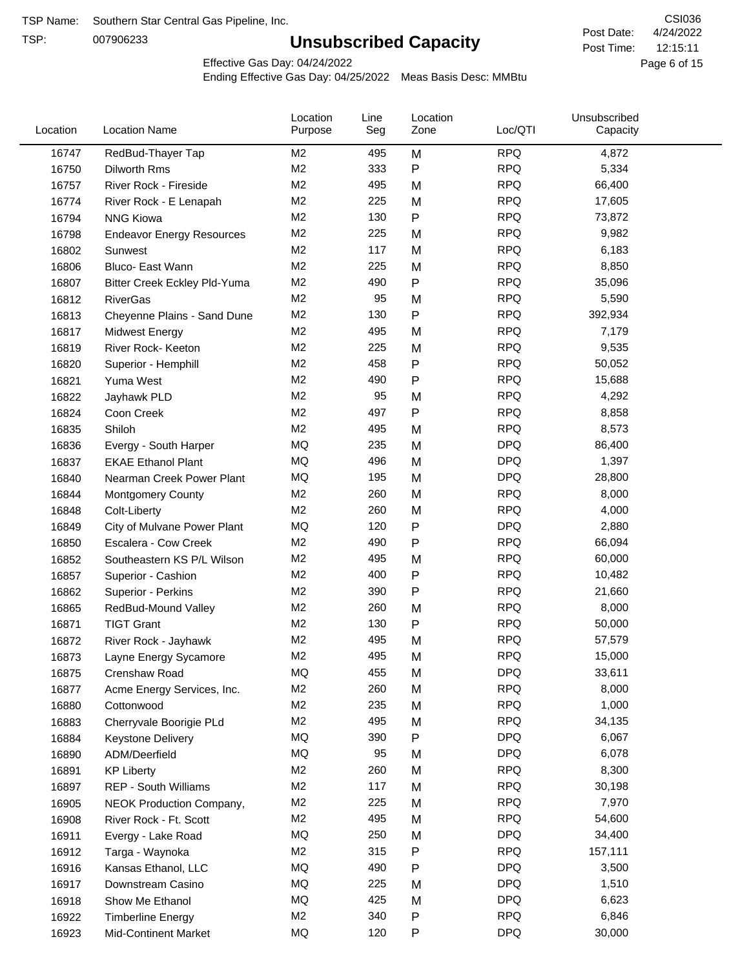TSP:

# **Unsubscribed Capacity**

4/24/2022 Page 6 of 15 12:15:11 CSI036 Post Date: Post Time:

Effective Gas Day: 04/24/2022

| Location | <b>Location Name</b>             | Location<br>Purpose | Line<br>Seg | Location<br>Zone | Loc/QTI    | Unsubscribed<br>Capacity |  |
|----------|----------------------------------|---------------------|-------------|------------------|------------|--------------------------|--|
| 16747    | RedBud-Thayer Tap                | M <sub>2</sub>      | 495         | M                | <b>RPQ</b> | 4,872                    |  |
| 16750    | Dilworth Rms                     | M <sub>2</sub>      | 333         | P                | <b>RPQ</b> | 5,334                    |  |
| 16757    | River Rock - Fireside            | M <sub>2</sub>      | 495         | M                | <b>RPQ</b> | 66,400                   |  |
| 16774    | River Rock - E Lenapah           | M <sub>2</sub>      | 225         | M                | <b>RPQ</b> | 17,605                   |  |
| 16794    | <b>NNG Kiowa</b>                 | M <sub>2</sub>      | 130         | P                | <b>RPQ</b> | 73,872                   |  |
| 16798    | <b>Endeavor Energy Resources</b> | M <sub>2</sub>      | 225         | M                | <b>RPQ</b> | 9,982                    |  |
| 16802    | Sunwest                          | M <sub>2</sub>      | 117         | M                | <b>RPQ</b> | 6,183                    |  |
| 16806    | Bluco- East Wann                 | M <sub>2</sub>      | 225         | M                | <b>RPQ</b> | 8,850                    |  |
| 16807    | Bitter Creek Eckley Pld-Yuma     | M <sub>2</sub>      | 490         | P                | <b>RPQ</b> | 35,096                   |  |
| 16812    | <b>RiverGas</b>                  | M <sub>2</sub>      | 95          | M                | <b>RPQ</b> | 5,590                    |  |
| 16813    | Cheyenne Plains - Sand Dune      | M <sub>2</sub>      | 130         | P                | <b>RPQ</b> | 392,934                  |  |
| 16817    | <b>Midwest Energy</b>            | M <sub>2</sub>      | 495         | M                | <b>RPQ</b> | 7,179                    |  |
| 16819    | River Rock- Keeton               | M <sub>2</sub>      | 225         | M                | <b>RPQ</b> | 9,535                    |  |
| 16820    | Superior - Hemphill              | M <sub>2</sub>      | 458         | Ρ                | <b>RPQ</b> | 50,052                   |  |
| 16821    | Yuma West                        | M <sub>2</sub>      | 490         | P                | <b>RPQ</b> | 15,688                   |  |
| 16822    | Jayhawk PLD                      | M <sub>2</sub>      | 95          | M                | <b>RPQ</b> | 4,292                    |  |
| 16824    | Coon Creek                       | M <sub>2</sub>      | 497         | P                | <b>RPQ</b> | 8,858                    |  |
| 16835    | Shiloh                           | M <sub>2</sub>      | 495         | M                | <b>RPQ</b> | 8,573                    |  |
| 16836    | Evergy - South Harper            | MQ                  | 235         | M                | <b>DPQ</b> | 86,400                   |  |
| 16837    | <b>EKAE Ethanol Plant</b>        | MQ                  | 496         | M                | <b>DPQ</b> | 1,397                    |  |
| 16840    | Nearman Creek Power Plant        | MQ                  | 195         | M                | <b>DPQ</b> | 28,800                   |  |
| 16844    | <b>Montgomery County</b>         | M <sub>2</sub>      | 260         | M                | <b>RPQ</b> | 8,000                    |  |
| 16848    | Colt-Liberty                     | M <sub>2</sub>      | 260         | M                | <b>RPQ</b> | 4,000                    |  |
| 16849    | City of Mulvane Power Plant      | MQ                  | 120         | P                | <b>DPQ</b> | 2,880                    |  |
| 16850    | Escalera - Cow Creek             | M <sub>2</sub>      | 490         | Ρ                | <b>RPQ</b> | 66,094                   |  |
| 16852    | Southeastern KS P/L Wilson       | M <sub>2</sub>      | 495         | M                | <b>RPQ</b> | 60,000                   |  |
| 16857    | Superior - Cashion               | M <sub>2</sub>      | 400         | Ρ                | <b>RPQ</b> | 10,482                   |  |
| 16862    | Superior - Perkins               | M <sub>2</sub>      | 390         | P                | <b>RPQ</b> | 21,660                   |  |
| 16865    | RedBud-Mound Valley              | M <sub>2</sub>      | 260         | M                | <b>RPQ</b> | 8,000                    |  |
| 16871    | <b>TIGT Grant</b>                | M <sub>2</sub>      | 130         | P                | <b>RPQ</b> | 50,000                   |  |
| 16872    | River Rock - Jayhawk             | M <sub>2</sub>      | 495         | M                | <b>RPQ</b> | 57,579                   |  |
| 16873    | Layne Energy Sycamore            | M <sub>2</sub>      | 495         | M                | <b>RPQ</b> | 15,000                   |  |
| 16875    | Crenshaw Road                    | MQ                  | 455         | M                | <b>DPQ</b> | 33,611                   |  |
| 16877    | Acme Energy Services, Inc.       | M <sub>2</sub>      | 260         | M                | <b>RPQ</b> | 8,000                    |  |
| 16880    | Cottonwood                       | M <sub>2</sub>      | 235         | M                | <b>RPQ</b> | 1,000                    |  |
| 16883    | Cherryvale Boorigie PLd          | M <sub>2</sub>      | 495         | M                | <b>RPQ</b> | 34,135                   |  |
| 16884    | Keystone Delivery                | MQ                  | 390         | P                | <b>DPQ</b> | 6,067                    |  |
| 16890    | ADM/Deerfield                    | MQ                  | 95          | M                | <b>DPQ</b> | 6,078                    |  |
| 16891    | <b>KP Liberty</b>                | M <sub>2</sub>      | 260         | M                | <b>RPQ</b> | 8,300                    |  |
| 16897    | <b>REP - South Williams</b>      | M <sub>2</sub>      | 117         | M                | <b>RPQ</b> | 30,198                   |  |
| 16905    | NEOK Production Company,         | M <sub>2</sub>      | 225         | Μ                | <b>RPQ</b> | 7,970                    |  |
| 16908    | River Rock - Ft. Scott           | M <sub>2</sub>      | 495         | M                | <b>RPQ</b> | 54,600                   |  |
| 16911    | Evergy - Lake Road               | MQ                  | 250         | M                | <b>DPQ</b> | 34,400                   |  |
| 16912    | Targa - Waynoka                  | M <sub>2</sub>      | 315         | P                | <b>RPQ</b> | 157,111                  |  |
| 16916    | Kansas Ethanol, LLC              | MQ                  | 490         | P                | <b>DPQ</b> | 3,500                    |  |
| 16917    | Downstream Casino                | MQ                  | 225         | M                | <b>DPQ</b> | 1,510                    |  |
| 16918    | Show Me Ethanol                  | MQ                  | 425         | M                | <b>DPQ</b> | 6,623                    |  |
| 16922    | <b>Timberline Energy</b>         | M <sub>2</sub>      | 340         | P                | <b>RPQ</b> | 6,846                    |  |
| 16923    | <b>Mid-Continent Market</b>      | MQ                  | 120         | P                | <b>DPQ</b> | 30,000                   |  |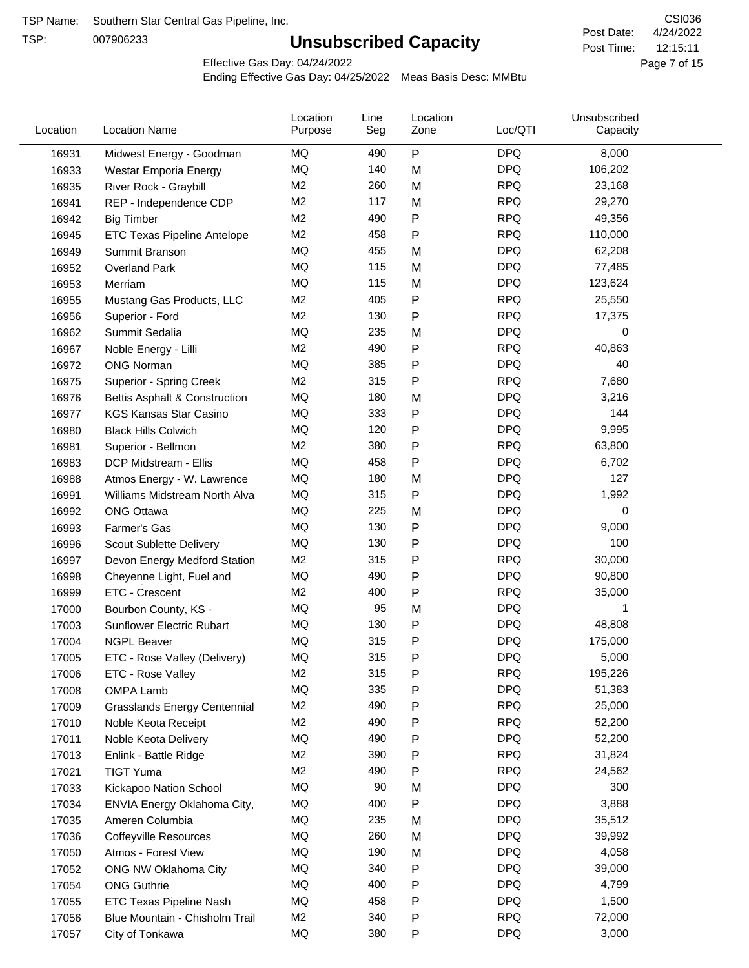TSP:

# **Unsubscribed Capacity**

4/24/2022 Page 7 of 15 12:15:11 CSI036 Post Date: Post Time:

Effective Gas Day: 04/24/2022

| Location<br>Location<br>Line<br>Loc/QTI<br>Location<br><b>Location Name</b><br>Purpose<br>Seg<br>Zone | Unsubscribed<br>Capacity |
|-------------------------------------------------------------------------------------------------------|--------------------------|
| $\mathsf{P}$<br><b>DPQ</b><br>MQ<br>490<br>16931<br>Midwest Energy - Goodman                          | 8,000                    |
| <b>MQ</b><br><b>DPQ</b><br>140<br>M<br>16933<br>Westar Emporia Energy                                 | 106,202                  |
| <b>RPQ</b><br>M <sub>2</sub><br>260<br>M<br>16935<br>River Rock - Graybill                            | 23,168                   |
| <b>RPQ</b><br>M <sub>2</sub><br>117<br>M<br>16941<br>REP - Independence CDP                           | 29,270                   |
| M <sub>2</sub><br>490<br>$\mathsf{P}$<br><b>RPQ</b><br>16942<br><b>Big Timber</b>                     | 49,356                   |
| M <sub>2</sub><br>458<br><b>RPQ</b><br>$\mathsf{P}$<br>16945<br>ETC Texas Pipeline Antelope           | 110,000                  |
| MQ<br>455<br><b>DPQ</b><br>M<br>16949<br>Summit Branson                                               | 62,208                   |
| MQ<br><b>DPQ</b><br>115<br>M<br>16952<br><b>Overland Park</b>                                         | 77,485                   |
| MQ<br>115<br><b>DPQ</b><br>16953<br>M<br>Merriam                                                      | 123,624                  |
| M <sub>2</sub><br>405<br>P<br><b>RPQ</b><br>16955<br>Mustang Gas Products, LLC                        | 25,550                   |
| M <sub>2</sub><br>130<br><b>RPQ</b><br>$\mathsf{P}$<br>16956<br>Superior - Ford                       | 17,375                   |
| MQ<br>235<br>M<br><b>DPQ</b><br>16962<br>Summit Sedalia                                               | 0                        |
| M <sub>2</sub><br>490<br>$\mathsf{P}$<br><b>RPQ</b><br>16967<br>Noble Energy - Lilli                  | 40,863                   |
| MQ<br>385<br>$\mathsf{P}$<br><b>DPQ</b><br><b>ONG Norman</b><br>16972                                 | 40                       |
| M <sub>2</sub><br>315<br><b>RPQ</b><br>$\mathsf{P}$<br>16975<br><b>Superior - Spring Creek</b>        | 7,680                    |
| MQ<br><b>DPQ</b><br>180<br>M<br>16976<br><b>Bettis Asphalt &amp; Construction</b>                     | 3,216                    |
| MQ<br>$\mathsf{P}$<br><b>DPQ</b><br>333<br>16977<br><b>KGS Kansas Star Casino</b>                     | 144                      |
| <b>DPQ</b><br>MQ<br>120<br>P<br>16980<br><b>Black Hills Colwich</b>                                   | 9,995                    |
| M <sub>2</sub><br><b>RPQ</b><br>380<br>P<br>16981<br>Superior - Bellmon                               | 63,800                   |
| $\mathsf{P}$<br><b>DPQ</b><br>MQ<br>458<br>16983<br>DCP Midstream - Ellis                             | 6,702                    |
| MQ<br>180<br><b>DPQ</b><br>M<br>16988<br>Atmos Energy - W. Lawrence                                   | 127                      |
| $\mathsf{P}$<br><b>DPQ</b><br>MQ<br>315<br>16991<br>Williams Midstream North Alva                     | 1,992                    |
| MQ<br><b>DPQ</b><br>225<br>16992<br><b>ONG Ottawa</b><br>M                                            | 0                        |
| MQ<br>$\mathsf{P}$<br><b>DPQ</b><br>16993<br>Farmer's Gas<br>130                                      | 9,000                    |
| <b>DPQ</b><br>MQ<br>130<br>$\mathsf{P}$<br>16996<br>Scout Sublette Delivery                           | 100                      |
| M <sub>2</sub><br>315<br><b>RPQ</b><br>$\mathsf{P}$<br>16997<br>Devon Energy Medford Station          | 30,000                   |
| <b>DPQ</b><br>MQ<br>490<br>$\mathsf{P}$<br>16998<br>Cheyenne Light, Fuel and                          | 90,800                   |
| M <sub>2</sub><br><b>RPQ</b><br>ETC - Crescent<br>400<br>$\mathsf{P}$<br>16999                        | 35,000                   |
| MQ<br>95<br>M<br><b>DPQ</b><br>17000<br>Bourbon County, KS -                                          | 1                        |
| MQ<br><b>DPQ</b><br>130<br>Ρ<br>17003<br>Sunflower Electric Rubart                                    | 48,808                   |
| 315<br><b>DPQ</b><br>MQ<br>P<br>17004<br><b>NGPL Beaver</b>                                           | 175,000                  |
| <b>MQ</b><br>315<br><b>DPQ</b><br>17005<br>ETC - Rose Valley (Delivery)<br>P                          | 5,000                    |
| M <sub>2</sub><br>315<br>P<br><b>RPQ</b><br>17006<br>ETC - Rose Valley                                | 195,226                  |
| MQ<br>335<br><b>DPQ</b><br>$\mathsf{P}$<br>17008<br>OMPA Lamb                                         | 51,383                   |
| M <sub>2</sub><br>490<br>$\mathsf{P}$<br><b>RPQ</b><br>17009<br><b>Grasslands Energy Centennial</b>   | 25,000                   |
| M <sub>2</sub><br>490<br><b>RPQ</b><br>17010<br>$\mathsf{P}$<br>Noble Keota Receipt                   | 52,200                   |
| MQ<br>$\mathsf{P}$<br><b>DPQ</b><br>17011<br>490<br>Noble Keota Delivery                              | 52,200                   |
| M <sub>2</sub><br><b>RPQ</b><br>390<br>$\mathsf{P}$<br>17013<br>Enlink - Battle Ridge                 | 31,824                   |
| M <sub>2</sub><br><b>RPQ</b><br>490<br>P<br>17021<br><b>TIGT Yuma</b>                                 | 24,562                   |
| MQ<br><b>DPQ</b><br>17033<br>90<br>M<br>Kickapoo Nation School                                        | 300                      |
| MQ<br>${\sf P}$<br><b>DPQ</b><br>400<br>17034<br>ENVIA Energy Oklahoma City,                          | 3,888                    |
| MQ<br><b>DPQ</b><br>235<br>M<br>17035<br>Ameren Columbia                                              | 35,512                   |
| MQ<br><b>DPQ</b><br>260<br>M<br>17036<br><b>Coffeyville Resources</b>                                 | 39,992                   |
| MQ<br><b>DPQ</b><br>17050<br>190<br>M<br>Atmos - Forest View                                          | 4,058                    |
| MQ<br>340<br>${\sf P}$<br><b>DPQ</b><br>17052<br>ONG NW Oklahoma City                                 | 39,000                   |
| MQ<br>400<br>P<br><b>DPQ</b><br>17054<br><b>ONG Guthrie</b>                                           | 4,799                    |
| MQ<br>458<br><b>DPQ</b><br>$\mathsf{P}$<br>17055<br>ETC Texas Pipeline Nash                           | 1,500                    |
| M <sub>2</sub><br>340<br><b>RPQ</b><br>P<br>17056<br>Blue Mountain - Chisholm Trail                   | 72,000                   |
| MQ<br><b>DPQ</b><br>17057<br>380<br>P<br>City of Tonkawa                                              | 3,000                    |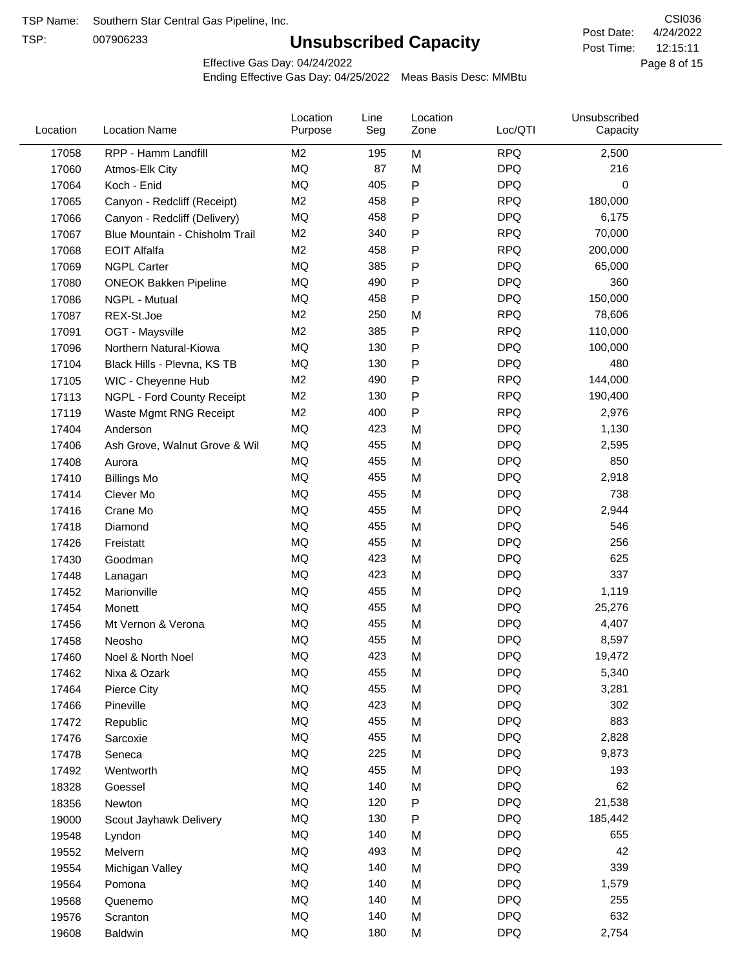TSP:

# **Unsubscribed Capacity**

Effective Gas Day: 04/24/2022

| Location | <b>Location Name</b>           | Location<br>Purpose | Line<br>Seg | Location<br>Zone | Loc/QTI    | Unsubscribed<br>Capacity |  |
|----------|--------------------------------|---------------------|-------------|------------------|------------|--------------------------|--|
| 17058    | RPP - Hamm Landfill            | M <sub>2</sub>      | 195         | M                | <b>RPQ</b> | 2,500                    |  |
| 17060    | Atmos-Elk City                 | MQ                  | 87          | M                | <b>DPQ</b> | 216                      |  |
| 17064    | Koch - Enid                    | MQ                  | 405         | P                | <b>DPQ</b> | 0                        |  |
| 17065    | Canyon - Redcliff (Receipt)    | M <sub>2</sub>      | 458         | Ρ                | <b>RPQ</b> | 180,000                  |  |
| 17066    | Canyon - Redcliff (Delivery)   | <b>MQ</b>           | 458         | Ρ                | <b>DPQ</b> | 6,175                    |  |
| 17067    | Blue Mountain - Chisholm Trail | M <sub>2</sub>      | 340         | Ρ                | <b>RPQ</b> | 70,000                   |  |
| 17068    | <b>EOIT Alfalfa</b>            | M <sub>2</sub>      | 458         | Ρ                | <b>RPQ</b> | 200,000                  |  |
| 17069    | <b>NGPL Carter</b>             | <b>MQ</b>           | 385         | Ρ                | <b>DPQ</b> | 65,000                   |  |
| 17080    | <b>ONEOK Bakken Pipeline</b>   | MQ                  | 490         | P                | <b>DPQ</b> | 360                      |  |
| 17086    | NGPL - Mutual                  | <b>MQ</b>           | 458         | Ρ                | <b>DPQ</b> | 150,000                  |  |
| 17087    | REX-St.Joe                     | M <sub>2</sub>      | 250         | M                | <b>RPQ</b> | 78,606                   |  |
| 17091    | OGT - Maysville                | M <sub>2</sub>      | 385         | Ρ                | <b>RPQ</b> | 110,000                  |  |
| 17096    | Northern Natural-Kiowa         | <b>MQ</b>           | 130         | P                | <b>DPQ</b> | 100,000                  |  |
| 17104    | Black Hills - Plevna, KS TB    | <b>MQ</b>           | 130         | Ρ                | <b>DPQ</b> | 480                      |  |
| 17105    | WIC - Cheyenne Hub             | M <sub>2</sub>      | 490         | P                | <b>RPQ</b> | 144,000                  |  |
| 17113    | NGPL - Ford County Receipt     | M <sub>2</sub>      | 130         | P                | <b>RPQ</b> | 190,400                  |  |
| 17119    | Waste Mgmt RNG Receipt         | M <sub>2</sub>      | 400         | P                | <b>RPQ</b> | 2,976                    |  |
| 17404    | Anderson                       | MQ                  | 423         | M                | <b>DPQ</b> | 1,130                    |  |
| 17406    | Ash Grove, Walnut Grove & Wil  | <b>MQ</b>           | 455         | M                | <b>DPQ</b> | 2,595                    |  |
| 17408    | Aurora                         | MQ                  | 455         | M                | <b>DPQ</b> | 850                      |  |
| 17410    | <b>Billings Mo</b>             | MQ                  | 455         | M                | <b>DPQ</b> | 2,918                    |  |
| 17414    | Clever Mo                      | <b>MQ</b>           | 455         | M                | <b>DPQ</b> | 738                      |  |
| 17416    | Crane Mo                       | <b>MQ</b>           | 455         | M                | <b>DPQ</b> | 2,944                    |  |
| 17418    | Diamond                        | <b>MQ</b>           | 455         | M                | <b>DPQ</b> | 546                      |  |
| 17426    | Freistatt                      | <b>MQ</b>           | 455         | M                | <b>DPQ</b> | 256                      |  |
| 17430    | Goodman                        | MQ                  | 423         | M                | <b>DPQ</b> | 625                      |  |
| 17448    | Lanagan                        | MQ                  | 423         | M                | <b>DPQ</b> | 337                      |  |
| 17452    | Marionville                    | MQ                  | 455         | M                | <b>DPQ</b> | 1,119                    |  |
| 17454    | Monett                         | MQ                  | 455         | M                | <b>DPQ</b> | 25,276                   |  |
| 17456    | Mt Vernon & Verona             | <b>MQ</b>           | 455         | M                | <b>DPQ</b> | 4,407                    |  |
| 17458    | Neosho                         | <b>MQ</b>           | 455         | M                | <b>DPQ</b> | 8,597                    |  |
| 17460    | Noel & North Noel              | MQ                  | 423         | M                | <b>DPQ</b> | 19,472                   |  |
| 17462    | Nixa & Ozark                   | MQ                  | 455         | M                | <b>DPQ</b> | 5,340                    |  |
| 17464    | Pierce City                    | MQ                  | 455         | M                | <b>DPQ</b> | 3,281                    |  |
| 17466    | Pineville                      | $\sf{MQ}$           | 423         | M                | <b>DPQ</b> | 302                      |  |
| 17472    | Republic                       | $\sf{MQ}$           | 455         | M                | <b>DPQ</b> | 883                      |  |
| 17476    | Sarcoxie                       | MQ                  | 455         | M                | <b>DPQ</b> | 2,828                    |  |
| 17478    | Seneca                         | MQ                  | 225         | M                | <b>DPQ</b> | 9,873                    |  |
| 17492    | Wentworth                      | MQ                  | 455         | M                | <b>DPQ</b> | 193                      |  |
| 18328    | Goessel                        | $\sf{MQ}$           | 140         | M                | <b>DPQ</b> | 62                       |  |
| 18356    | Newton                         | MQ                  | 120         | Ρ                | <b>DPQ</b> | 21,538                   |  |
| 19000    | Scout Jayhawk Delivery         | MQ                  | 130         | Ρ                | <b>DPQ</b> | 185,442                  |  |
| 19548    | Lyndon                         | MQ                  | 140         | M                | <b>DPQ</b> | 655                      |  |
| 19552    | Melvern                        | MQ                  | 493         | M                | <b>DPQ</b> | 42                       |  |
| 19554    | Michigan Valley                | MQ                  | 140         | M                | <b>DPQ</b> | 339                      |  |
| 19564    | Pomona                         | MQ                  | 140         | M                | <b>DPQ</b> | 1,579                    |  |
| 19568    | Quenemo                        | MQ                  | 140         | M                | <b>DPQ</b> | 255                      |  |
| 19576    | Scranton                       | MQ                  | 140         | M                | <b>DPQ</b> | 632                      |  |
| 19608    | Baldwin                        | $\sf{MQ}$           | 180         | M                | <b>DPQ</b> | 2,754                    |  |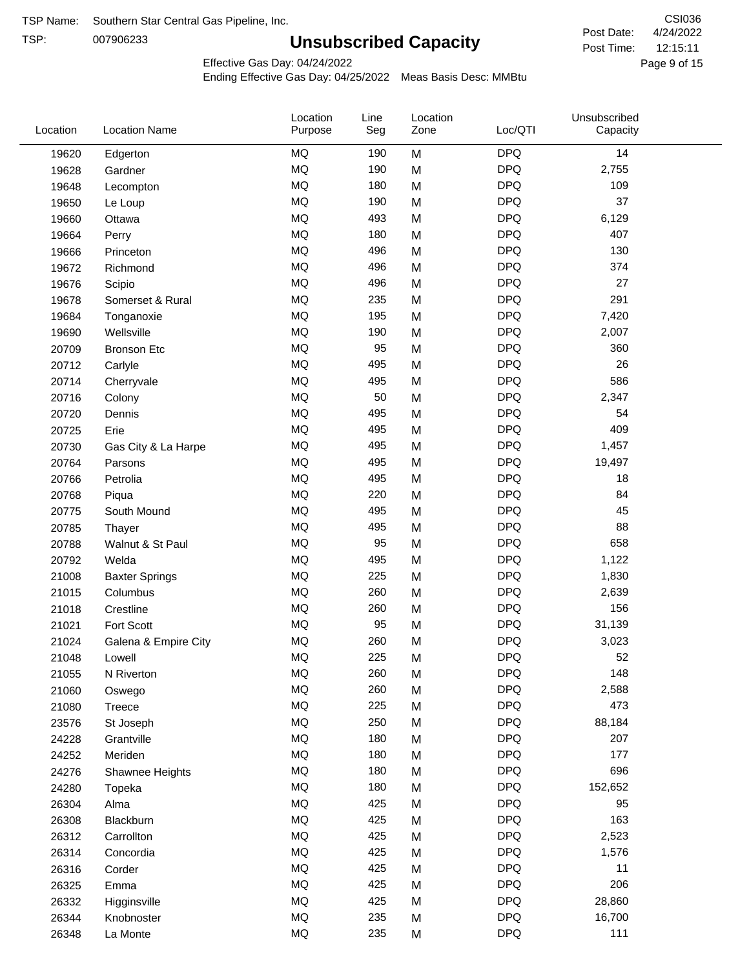TSP:

# **Unsubscribed Capacity**

4/24/2022 Page 9 of 15 12:15:11 CSI036 Post Date: Post Time:

Effective Gas Day: 04/24/2022

| Location | <b>Location Name</b>  | Location<br>Purpose | Line<br>Seg | Location<br>Zone | Loc/QTI    | Unsubscribed<br>Capacity |  |
|----------|-----------------------|---------------------|-------------|------------------|------------|--------------------------|--|
| 19620    | Edgerton              | <b>MQ</b>           | 190         | M                | <b>DPQ</b> | 14                       |  |
| 19628    | Gardner               | <b>MQ</b>           | 190         | M                | <b>DPQ</b> | 2,755                    |  |
| 19648    | Lecompton             | <b>MQ</b>           | 180         | M                | <b>DPQ</b> | 109                      |  |
| 19650    | Le Loup               | <b>MQ</b>           | 190         | M                | <b>DPQ</b> | 37                       |  |
| 19660    | Ottawa                | <b>MQ</b>           | 493         | M                | <b>DPQ</b> | 6,129                    |  |
| 19664    | Perry                 | <b>MQ</b>           | 180         | M                | <b>DPQ</b> | 407                      |  |
| 19666    | Princeton             | <b>MQ</b>           | 496         | M                | <b>DPQ</b> | 130                      |  |
| 19672    | Richmond              | <b>MQ</b>           | 496         | M                | <b>DPQ</b> | 374                      |  |
| 19676    | Scipio                | <b>MQ</b>           | 496         | M                | <b>DPQ</b> | 27                       |  |
| 19678    | Somerset & Rural      | <b>MQ</b>           | 235         | M                | <b>DPQ</b> | 291                      |  |
| 19684    | Tonganoxie            | <b>MQ</b>           | 195         | M                | <b>DPQ</b> | 7,420                    |  |
| 19690    | Wellsville            | <b>MQ</b>           | 190         | M                | <b>DPQ</b> | 2,007                    |  |
| 20709    | <b>Bronson Etc</b>    | <b>MQ</b>           | 95          | M                | <b>DPQ</b> | 360                      |  |
| 20712    | Carlyle               | <b>MQ</b>           | 495         | M                | <b>DPQ</b> | 26                       |  |
| 20714    | Cherryvale            | <b>MQ</b>           | 495         | M                | <b>DPQ</b> | 586                      |  |
| 20716    | Colony                | <b>MQ</b>           | 50          | M                | <b>DPQ</b> | 2,347                    |  |
| 20720    | Dennis                | <b>MQ</b>           | 495         | M                | <b>DPQ</b> | 54                       |  |
| 20725    | Erie                  | <b>MQ</b>           | 495         | M                | <b>DPQ</b> | 409                      |  |
| 20730    | Gas City & La Harpe   | <b>MQ</b>           | 495         | M                | <b>DPQ</b> | 1,457                    |  |
| 20764    | Parsons               | <b>MQ</b>           | 495         | M                | <b>DPQ</b> | 19,497                   |  |
| 20766    | Petrolia              | <b>MQ</b>           | 495         | M                | <b>DPQ</b> | 18                       |  |
| 20768    | Piqua                 | <b>MQ</b>           | 220         | M                | <b>DPQ</b> | 84                       |  |
| 20775    | South Mound           | <b>MQ</b>           | 495         | M                | <b>DPQ</b> | 45                       |  |
| 20785    | Thayer                | <b>MQ</b>           | 495         | M                | <b>DPQ</b> | 88                       |  |
| 20788    | Walnut & St Paul      | <b>MQ</b>           | 95          | M                | <b>DPQ</b> | 658                      |  |
| 20792    | Welda                 | <b>MQ</b>           | 495         | M                | <b>DPQ</b> | 1,122                    |  |
| 21008    | <b>Baxter Springs</b> | <b>MQ</b>           | 225         | M                | <b>DPQ</b> | 1,830                    |  |
| 21015    | Columbus              | <b>MQ</b>           | 260         | M                | <b>DPQ</b> | 2,639                    |  |
| 21018    | Crestline             | <b>MQ</b>           | 260         | M                | <b>DPQ</b> | 156                      |  |
| 21021    | Fort Scott            | <b>MQ</b>           | 95          | M                | <b>DPQ</b> | 31,139                   |  |
| 21024    | Galena & Empire City  | MQ                  | 260         | M                | <b>DPQ</b> | 3,023                    |  |
| 21048    | Lowell                | <b>MQ</b>           | 225         | M                | <b>DPQ</b> | 52                       |  |
| 21055    | N Riverton            | MQ                  | 260         | M                | <b>DPQ</b> | 148                      |  |
| 21060    | Oswego                | MQ                  | 260         | M                | <b>DPQ</b> | 2,588                    |  |
| 21080    | Treece                | MQ                  | 225         | M                | <b>DPQ</b> | 473                      |  |
| 23576    | St Joseph             | MQ                  | 250         | M                | <b>DPQ</b> | 88,184                   |  |
| 24228    | Grantville            | MQ                  | 180         | M                | <b>DPQ</b> | 207                      |  |
| 24252    | Meriden               | MQ                  | 180         | M                | <b>DPQ</b> | 177                      |  |
| 24276    | Shawnee Heights       | <b>MQ</b>           | 180         | M                | <b>DPQ</b> | 696                      |  |
| 24280    | Topeka                | <b>MQ</b>           | 180         | M                | <b>DPQ</b> | 152,652                  |  |
| 26304    | Alma                  | MQ                  | 425         | M                | <b>DPQ</b> | 95                       |  |
| 26308    | Blackburn             | MQ                  | 425         | M                | <b>DPQ</b> | 163                      |  |
| 26312    | Carrollton            | MQ                  | 425         | M                | <b>DPQ</b> | 2,523                    |  |
| 26314    | Concordia             | <b>MQ</b>           | 425         | M                | <b>DPQ</b> | 1,576                    |  |
| 26316    | Corder                | <b>MQ</b>           | 425         | M                | <b>DPQ</b> | 11                       |  |
| 26325    | Emma                  | MQ                  | 425         | M                | <b>DPQ</b> | 206                      |  |
| 26332    | Higginsville          | MQ                  | 425         | M                | <b>DPQ</b> | 28,860                   |  |
| 26344    | Knobnoster            | <b>MQ</b>           | 235         | M                | <b>DPQ</b> | 16,700                   |  |
| 26348    | La Monte              | <b>MQ</b>           | 235         | M                | <b>DPQ</b> | 111                      |  |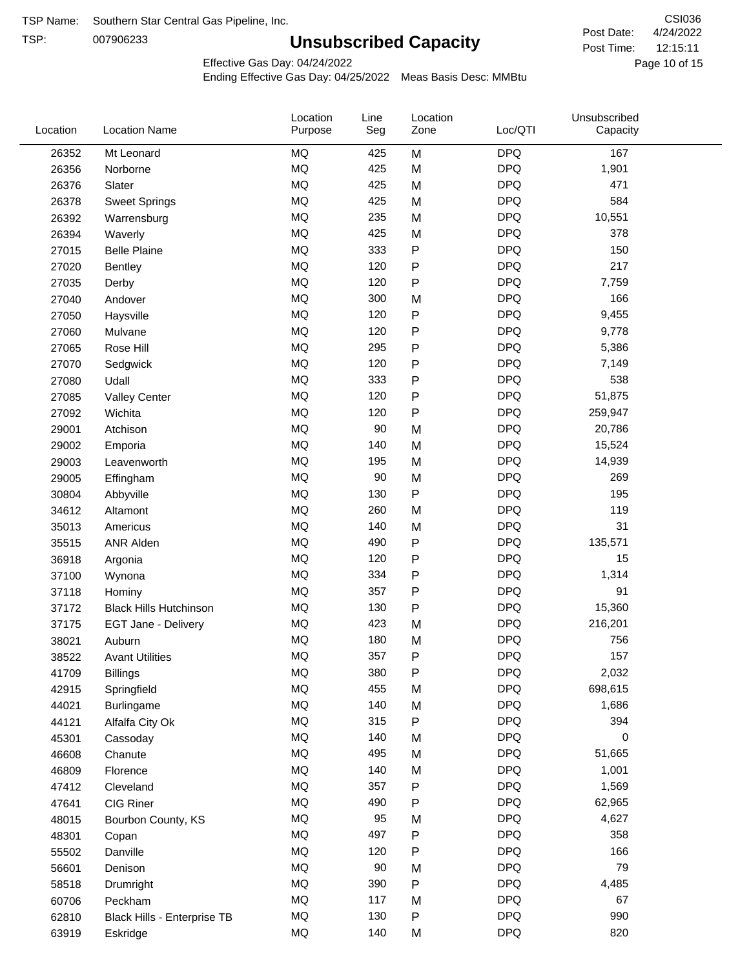TSP:

# **Unsubscribed Capacity**

4/24/2022 Page 10 of 15 12:15:11 CSI036 Post Date: Post Time:

Effective Gas Day: 04/24/2022

| Location | <b>Location Name</b>          | Location<br>Purpose | Line<br>Seg | Location<br>Zone | Loc/QTI    | Unsubscribed<br>Capacity |  |
|----------|-------------------------------|---------------------|-------------|------------------|------------|--------------------------|--|
| 26352    | Mt Leonard                    | <b>MQ</b>           | 425         | M                | <b>DPQ</b> | 167                      |  |
| 26356    | Norborne                      | MQ                  | 425         | M                | <b>DPQ</b> | 1,901                    |  |
| 26376    | Slater                        | MQ                  | 425         | M                | <b>DPQ</b> | 471                      |  |
| 26378    | <b>Sweet Springs</b>          | MQ                  | 425         | M                | <b>DPQ</b> | 584                      |  |
| 26392    | Warrensburg                   | <b>MQ</b>           | 235         | M                | <b>DPQ</b> | 10,551                   |  |
| 26394    | Waverly                       | <b>MQ</b>           | 425         | M                | <b>DPQ</b> | 378                      |  |
| 27015    | <b>Belle Plaine</b>           | <b>MQ</b>           | 333         | ${\sf P}$        | <b>DPQ</b> | 150                      |  |
| 27020    | <b>Bentley</b>                | <b>MQ</b>           | 120         | ${\sf P}$        | <b>DPQ</b> | 217                      |  |
| 27035    | Derby                         | <b>MQ</b>           | 120         | ${\sf P}$        | <b>DPQ</b> | 7,759                    |  |
| 27040    | Andover                       | <b>MQ</b>           | 300         | M                | <b>DPQ</b> | 166                      |  |
| 27050    | Haysville                     | MQ                  | 120         | ${\sf P}$        | <b>DPQ</b> | 9,455                    |  |
| 27060    | Mulvane                       | MQ                  | 120         | ${\sf P}$        | <b>DPQ</b> | 9,778                    |  |
| 27065    | Rose Hill                     | <b>MQ</b>           | 295         | ${\sf P}$        | <b>DPQ</b> | 5,386                    |  |
| 27070    | Sedgwick                      | <b>MQ</b>           | 120         | P                | <b>DPQ</b> | 7,149                    |  |
| 27080    | Udall                         | <b>MQ</b>           | 333         | ${\sf P}$        | <b>DPQ</b> | 538                      |  |
| 27085    | <b>Valley Center</b>          | <b>MQ</b>           | 120         | P                | <b>DPQ</b> | 51,875                   |  |
| 27092    | Wichita                       | MQ                  | 120         | $\mathsf{P}$     | <b>DPQ</b> | 259,947                  |  |
| 29001    | Atchison                      | <b>MQ</b>           | 90          | M                | <b>DPQ</b> | 20,786                   |  |
| 29002    | Emporia                       | <b>MQ</b>           | 140         | M                | <b>DPQ</b> | 15,524                   |  |
| 29003    | Leavenworth                   | MQ                  | 195         | M                | <b>DPQ</b> | 14,939                   |  |
| 29005    | Effingham                     | MQ                  | 90          | M                | <b>DPQ</b> | 269                      |  |
| 30804    | Abbyville                     | <b>MQ</b>           | 130         | ${\sf P}$        | <b>DPQ</b> | 195                      |  |
| 34612    | Altamont                      | <b>MQ</b>           | 260         | M                | <b>DPQ</b> | 119                      |  |
| 35013    | Americus                      | <b>MQ</b>           | 140         | M                | <b>DPQ</b> | 31                       |  |
| 35515    | <b>ANR Alden</b>              | MQ                  | 490         | ${\sf P}$        | <b>DPQ</b> | 135,571                  |  |
| 36918    | Argonia                       | MQ                  | 120         | ${\sf P}$        | <b>DPQ</b> | 15                       |  |
| 37100    | Wynona                        | <b>MQ</b>           | 334         | ${\sf P}$        | <b>DPQ</b> | 1,314                    |  |
| 37118    | Hominy                        | <b>MQ</b>           | 357         | P                | <b>DPQ</b> | 91                       |  |
| 37172    | <b>Black Hills Hutchinson</b> | <b>MQ</b>           | 130         | ${\sf P}$        | <b>DPQ</b> | 15,360                   |  |
| 37175    | EGT Jane - Delivery           | MQ                  | 423         | M                | <b>DPQ</b> | 216,201                  |  |
| 38021    | Auburn                        | <b>MQ</b>           | 180         | M                | <b>DPQ</b> | 756                      |  |
| 38522    | <b>Avant Utilities</b>        | MQ                  | 357         | P                | <b>DPQ</b> | 157                      |  |
| 41709    | <b>Billings</b>               | MQ                  | 380         | ${\sf P}$        | <b>DPQ</b> | 2,032                    |  |
| 42915    | Springfield                   | $\sf{MQ}$           | 455         | M                | <b>DPQ</b> | 698,615                  |  |
| 44021    | Burlingame                    | $\sf{MQ}$           | 140         | M                | <b>DPQ</b> | 1,686                    |  |
| 44121    | Alfalfa City Ok               | MQ                  | 315         | ${\sf P}$        | <b>DPQ</b> | 394                      |  |
| 45301    | Cassoday                      | MQ                  | 140         | M                | <b>DPQ</b> | 0                        |  |
| 46608    | Chanute                       | MQ                  | 495         | M                | <b>DPQ</b> | 51,665                   |  |
| 46809    | Florence                      | MQ                  | 140         | M                | <b>DPQ</b> | 1,001                    |  |
| 47412    | Cleveland                     | MQ                  | 357         | ${\sf P}$        | <b>DPQ</b> | 1,569                    |  |
| 47641    | CIG Riner                     | MQ                  | 490         | P                | <b>DPQ</b> | 62,965                   |  |
| 48015    | Bourbon County, KS            | MQ                  | 95          | M                | <b>DPQ</b> | 4,627                    |  |
| 48301    | Copan                         | MQ                  | 497         | ${\sf P}$        | <b>DPQ</b> | 358                      |  |
| 55502    | Danville                      | $\sf{MQ}$           | 120         | P                | <b>DPQ</b> | 166                      |  |
| 56601    | Denison                       | MQ                  | 90          | M                | <b>DPQ</b> | 79                       |  |
| 58518    | Drumright                     | MQ                  | 390         | P                | <b>DPQ</b> | 4,485                    |  |
| 60706    | Peckham                       | MQ                  | 117         | M                | <b>DPQ</b> | 67                       |  |
| 62810    | Black Hills - Enterprise TB   | $\sf{MQ}$           | 130         | ${\sf P}$        | <b>DPQ</b> | 990                      |  |
| 63919    | Eskridge                      | $\sf{MQ}$           | 140         | M                | <b>DPQ</b> | 820                      |  |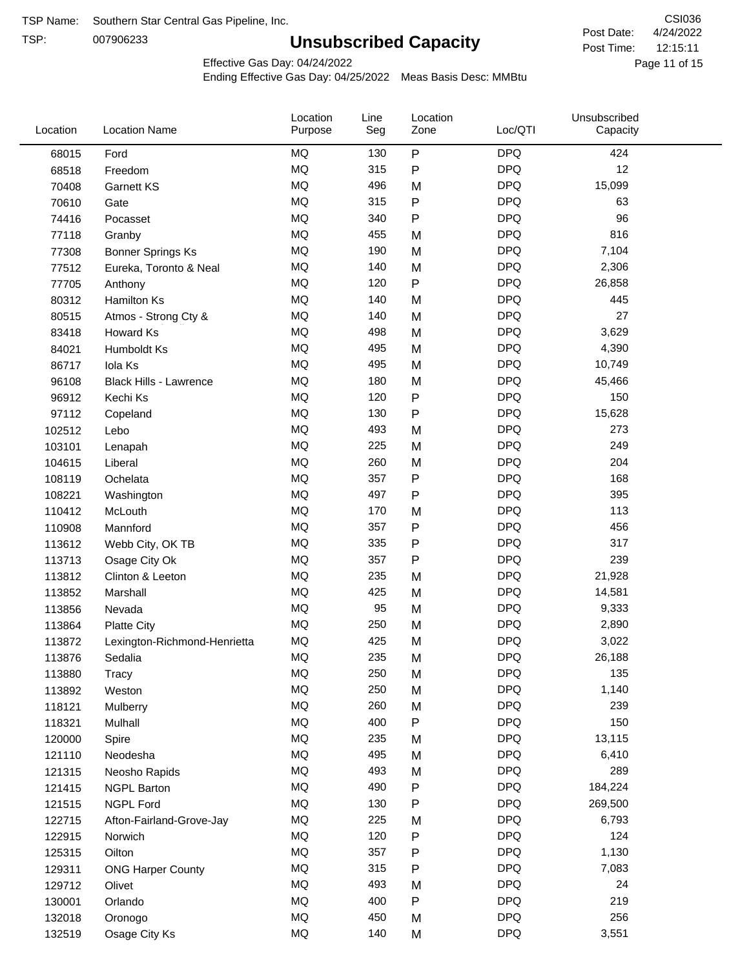TSP:

# **Unsubscribed Capacity**

4/24/2022 Page 11 of 15 12:15:11 CSI036 Post Date: Post Time:

Unsubscribed

Effective Gas Day: 04/24/2022

Location

Ending Effective Gas Day: 04/25/2022 Meas Basis Desc: MMBtu

Line

Location

| Location | <b>Location Name</b>         | Purpose   | Seg | Zone | Loc/QTI    | Capacity |  |
|----------|------------------------------|-----------|-----|------|------------|----------|--|
| 68015    | Ford                         | MQ        | 130 | P    | <b>DPQ</b> | 424      |  |
| 68518    | Freedom                      | MQ        | 315 | P    | <b>DPQ</b> | 12       |  |
| 70408    | <b>Garnett KS</b>            | MQ        | 496 | M    | <b>DPQ</b> | 15,099   |  |
| 70610    | Gate                         | MQ        | 315 | P    | <b>DPQ</b> | 63       |  |
| 74416    | Pocasset                     | <b>MQ</b> | 340 | P    | <b>DPQ</b> | 96       |  |
| 77118    | Granby                       | MQ        | 455 | M    | <b>DPQ</b> | 816      |  |
| 77308    | <b>Bonner Springs Ks</b>     | MQ        | 190 | M    | <b>DPQ</b> | 7,104    |  |
| 77512    | Eureka, Toronto & Neal       | MQ        | 140 | M    | <b>DPQ</b> | 2,306    |  |
| 77705    | Anthony                      | MQ        | 120 | P    | <b>DPQ</b> | 26,858   |  |
| 80312    | Hamilton Ks                  | MQ        | 140 | M    | <b>DPQ</b> | 445      |  |
| 80515    | Atmos - Strong Cty &         | MQ        | 140 | M    | <b>DPQ</b> | 27       |  |
| 83418    | Howard Ks                    | MQ        | 498 | M    | <b>DPQ</b> | 3,629    |  |
| 84021    | Humboldt Ks                  | MQ        | 495 | M    | <b>DPQ</b> | 4,390    |  |
| 86717    | Iola Ks                      | MQ        | 495 | M    | <b>DPQ</b> | 10,749   |  |
| 96108    | Black Hills - Lawrence       | MQ        | 180 | M    | <b>DPQ</b> | 45,466   |  |
| 96912    | Kechi Ks                     | MQ        | 120 | P    | <b>DPQ</b> | 150      |  |
| 97112    | Copeland                     | MQ        | 130 | Ρ    | <b>DPQ</b> | 15,628   |  |
| 102512   | Lebo                         | MQ        | 493 | M    | <b>DPQ</b> | 273      |  |
| 103101   | Lenapah                      | MQ        | 225 | M    | <b>DPQ</b> | 249      |  |
| 104615   | Liberal                      | MQ        | 260 | M    | <b>DPQ</b> | 204      |  |
| 108119   | Ochelata                     | MQ        | 357 | P    | <b>DPQ</b> | 168      |  |
| 108221   | Washington                   | MQ        | 497 | Ρ    | <b>DPQ</b> | 395      |  |
| 110412   | McLouth                      | MQ        | 170 | M    | <b>DPQ</b> | 113      |  |
| 110908   | Mannford                     | MQ        | 357 | P    | <b>DPQ</b> | 456      |  |
| 113612   | Webb City, OK TB             | MQ        | 335 | P    | <b>DPQ</b> | 317      |  |
| 113713   | Osage City Ok                | MQ        | 357 | Ρ    | <b>DPQ</b> | 239      |  |
| 113812   | Clinton & Leeton             | MQ        | 235 | M    | <b>DPQ</b> | 21,928   |  |
| 113852   | Marshall                     | MQ        | 425 | M    | <b>DPQ</b> | 14,581   |  |
| 113856   | Nevada                       | MQ        | 95  | M    | <b>DPQ</b> | 9,333    |  |
| 113864   | <b>Platte City</b>           | MQ        | 250 | M    | <b>DPQ</b> | 2,890    |  |
| 113872   | Lexington-Richmond-Henrietta | MQ        | 425 | M    | <b>DPQ</b> | 3,022    |  |
| 113876   | Sedalia                      | MQ        | 235 | M    | <b>DPQ</b> | 26,188   |  |
| 113880   | Tracy                        | $\sf{MQ}$ | 250 | M    | <b>DPQ</b> | 135      |  |
| 113892   | Weston                       | MQ        | 250 | M    | <b>DPQ</b> | 1,140    |  |
| 118121   | Mulberry                     | MQ        | 260 | M    | <b>DPQ</b> | 239      |  |
| 118321   | Mulhall                      | MQ        | 400 | P    | <b>DPQ</b> | 150      |  |
| 120000   | Spire                        | MQ        | 235 | M    | <b>DPQ</b> | 13,115   |  |
| 121110   | Neodesha                     | MQ        | 495 | M    | <b>DPQ</b> | 6,410    |  |
| 121315   | Neosho Rapids                | MQ        | 493 | M    | <b>DPQ</b> | 289      |  |
| 121415   | <b>NGPL Barton</b>           | MQ        | 490 | Ρ    | <b>DPQ</b> | 184,224  |  |
| 121515   | <b>NGPL Ford</b>             | MQ        | 130 | Ρ    | <b>DPQ</b> | 269,500  |  |
| 122715   | Afton-Fairland-Grove-Jay     | MQ        | 225 | M    | <b>DPQ</b> | 6,793    |  |
| 122915   | Norwich                      | MQ        | 120 | Ρ    | <b>DPQ</b> | 124      |  |
| 125315   | Oilton                       | MQ        | 357 | Ρ    | <b>DPQ</b> | 1,130    |  |
| 129311   | <b>ONG Harper County</b>     | MQ        | 315 | Ρ    | <b>DPQ</b> | 7,083    |  |
| 129712   | Olivet                       | MQ        | 493 | M    | <b>DPQ</b> | 24       |  |
| 130001   | Orlando                      | MQ        | 400 | P    | <b>DPQ</b> | 219      |  |
| 132018   | Oronogo                      | MQ        | 450 | M    | <b>DPQ</b> | 256      |  |
| 132519   | Osage City Ks                | MQ        | 140 | M    | <b>DPQ</b> | 3,551    |  |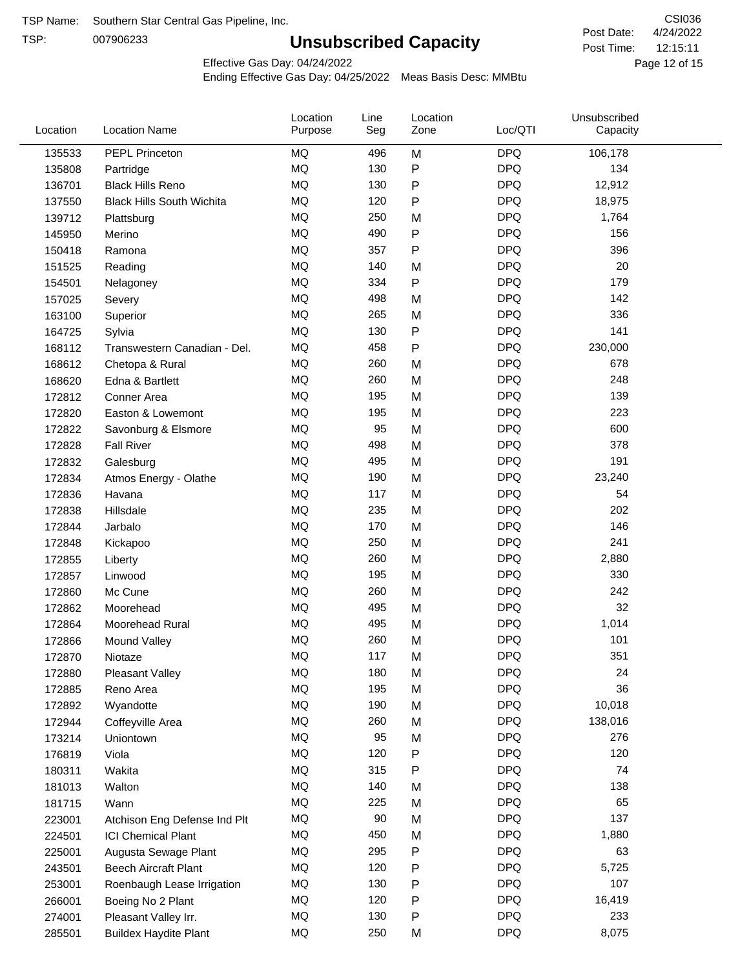TSP:

# **Unsubscribed Capacity**

4/24/2022 Page 12 of 15 12:15:11 CSI036 Post Date: Post Time:

Effective Gas Day: 04/24/2022

| Location | <b>Location Name</b>             | Location<br>Purpose | Line<br>Seg | Location<br>Zone | Loc/QTI    | Unsubscribed<br>Capacity |  |
|----------|----------------------------------|---------------------|-------------|------------------|------------|--------------------------|--|
| 135533   | PEPL Princeton                   | MQ                  | 496         | M                | <b>DPQ</b> | 106,178                  |  |
| 135808   | Partridge                        | MQ                  | 130         | ${\sf P}$        | <b>DPQ</b> | 134                      |  |
| 136701   | <b>Black Hills Reno</b>          | MQ                  | 130         | ${\sf P}$        | <b>DPQ</b> | 12,912                   |  |
| 137550   | <b>Black Hills South Wichita</b> | <b>MQ</b>           | 120         | $\mathsf{P}$     | <b>DPQ</b> | 18,975                   |  |
| 139712   | Plattsburg                       | <b>MQ</b>           | 250         | M                | <b>DPQ</b> | 1,764                    |  |
| 145950   | Merino                           | <b>MQ</b>           | 490         | $\mathsf{P}$     | <b>DPQ</b> | 156                      |  |
| 150418   | Ramona                           | <b>MQ</b>           | 357         | P                | <b>DPQ</b> | 396                      |  |
| 151525   | Reading                          | <b>MQ</b>           | 140         | M                | <b>DPQ</b> | 20                       |  |
| 154501   | Nelagoney                        | MQ                  | 334         | $\mathsf{P}$     | <b>DPQ</b> | 179                      |  |
| 157025   | Severy                           | <b>MQ</b>           | 498         | M                | <b>DPQ</b> | 142                      |  |
| 163100   | Superior                         | <b>MQ</b>           | 265         | M                | <b>DPQ</b> | 336                      |  |
| 164725   | Sylvia                           | MQ                  | 130         | ${\sf P}$        | <b>DPQ</b> | 141                      |  |
| 168112   | Transwestern Canadian - Del.     | <b>MQ</b>           | 458         | $\mathsf{P}$     | <b>DPQ</b> | 230,000                  |  |
| 168612   | Chetopa & Rural                  | <b>MQ</b>           | 260         | M                | <b>DPQ</b> | 678                      |  |
| 168620   | Edna & Bartlett                  | <b>MQ</b>           | 260         | M                | <b>DPQ</b> | 248                      |  |
| 172812   | Conner Area                      | <b>MQ</b>           | 195         | M                | <b>DPQ</b> | 139                      |  |
| 172820   | Easton & Lowemont                | MQ                  | 195         | M                | <b>DPQ</b> | 223                      |  |
| 172822   | Savonburg & Elsmore              | MQ                  | 95          | M                | <b>DPQ</b> | 600                      |  |
| 172828   | <b>Fall River</b>                | <b>MQ</b>           | 498         | M                | <b>DPQ</b> | 378                      |  |
| 172832   | Galesburg                        | <b>MQ</b>           | 495         | M                | <b>DPQ</b> | 191                      |  |
| 172834   | Atmos Energy - Olathe            | MQ                  | 190         | M                | <b>DPQ</b> | 23,240                   |  |
| 172836   | Havana                           | <b>MQ</b>           | 117         | M                | <b>DPQ</b> | 54                       |  |
| 172838   | Hillsdale                        | <b>MQ</b>           | 235         | M                | <b>DPQ</b> | 202                      |  |
| 172844   | Jarbalo                          | <b>MQ</b>           | 170         | M                | <b>DPQ</b> | 146                      |  |
| 172848   | Kickapoo                         | <b>MQ</b>           | 250         | M                | <b>DPQ</b> | 241                      |  |
| 172855   | Liberty                          | MQ                  | 260         | M                | <b>DPQ</b> | 2,880                    |  |
| 172857   | Linwood                          | <b>MQ</b>           | 195         | M                | <b>DPQ</b> | 330                      |  |
| 172860   | Mc Cune                          | <b>MQ</b>           | 260         | M                | <b>DPQ</b> | 242                      |  |
| 172862   | Moorehead                        | <b>MQ</b>           | 495         | M                | <b>DPQ</b> | 32                       |  |
| 172864   | Moorehead Rural                  | MQ                  | 495         | M                | <b>DPQ</b> | 1,014                    |  |
| 172866   | Mound Valley                     | <b>MQ</b>           | 260         | M                | <b>DPQ</b> | 101                      |  |
| 172870   | Niotaze                          | MQ                  | 117         | M                | <b>DPQ</b> | 351                      |  |
| 172880   | Pleasant Valley                  | MQ                  | 180         | M                | <b>DPQ</b> | 24                       |  |
| 172885   | Reno Area                        | MQ                  | 195         | M                | <b>DPQ</b> | 36                       |  |
| 172892   | Wyandotte                        | MQ                  | 190         | M                | <b>DPQ</b> | 10,018                   |  |
| 172944   | Coffeyville Area                 | MQ                  | 260         | M                | <b>DPQ</b> | 138,016                  |  |
| 173214   | Uniontown                        | MQ                  | 95          | M                | <b>DPQ</b> | 276                      |  |
| 176819   | Viola                            | MQ                  | 120         | ${\sf P}$        | <b>DPQ</b> | 120                      |  |
| 180311   | Wakita                           | MQ                  | 315         | P                | <b>DPQ</b> | 74                       |  |
| 181013   | Walton                           | MQ                  | 140         | M                | <b>DPQ</b> | 138                      |  |
| 181715   | Wann                             | MQ                  | 225         | M                | <b>DPQ</b> | 65                       |  |
| 223001   | Atchison Eng Defense Ind Plt     | MQ                  | 90          | M                | <b>DPQ</b> | 137                      |  |
| 224501   | <b>ICI Chemical Plant</b>        | MQ                  | 450         | M                | <b>DPQ</b> | 1,880                    |  |
| 225001   | Augusta Sewage Plant             | MQ                  | 295         | P                | <b>DPQ</b> | 63                       |  |
| 243501   | <b>Beech Aircraft Plant</b>      | MQ                  | 120         | ${\sf P}$        | <b>DPQ</b> | 5,725                    |  |
| 253001   |                                  | MQ                  | 130         | P                | <b>DPQ</b> | 107                      |  |
| 266001   | Roenbaugh Lease Irrigation       | MQ                  | 120         | ${\sf P}$        | <b>DPQ</b> | 16,419                   |  |
|          | Boeing No 2 Plant                | MQ                  | 130         | P                | <b>DPQ</b> | 233                      |  |
| 274001   | Pleasant Valley Irr.             | MQ                  | 250         |                  | <b>DPQ</b> | 8,075                    |  |
| 285501   | <b>Buildex Haydite Plant</b>     |                     |             | M                |            |                          |  |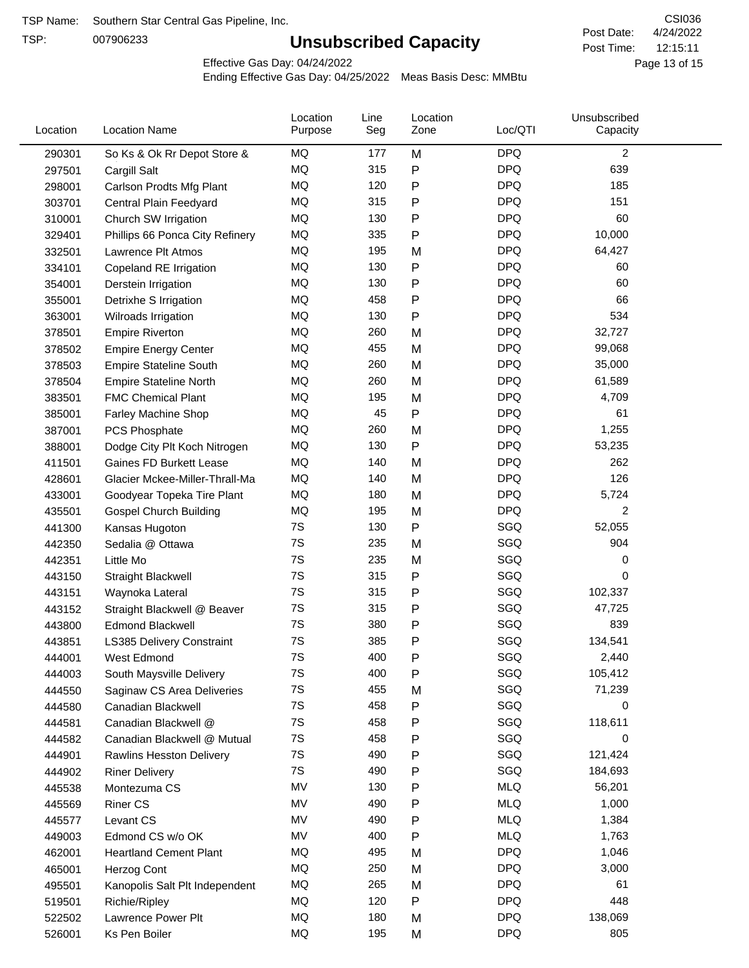TSP:

# **Unsubscribed Capacity**

4/24/2022 Page 13 of 15 12:15:11 CSI036 Post Date: Post Time:

Effective Gas Day: 04/24/2022

| Location | <b>Location Name</b>            | Location<br>Purpose | Line<br>Seg | Location<br>Zone | Loc/QTI    | Unsubscribed<br>Capacity |  |
|----------|---------------------------------|---------------------|-------------|------------------|------------|--------------------------|--|
| 290301   | So Ks & Ok Rr Depot Store &     | MQ                  | 177         | M                | <b>DPQ</b> | $\overline{2}$           |  |
| 297501   | Cargill Salt                    | MQ                  | 315         | P                | <b>DPQ</b> | 639                      |  |
| 298001   | Carlson Prodts Mfg Plant        | MQ                  | 120         | Ρ                | <b>DPQ</b> | 185                      |  |
| 303701   | Central Plain Feedyard          | <b>MQ</b>           | 315         | P                | <b>DPQ</b> | 151                      |  |
| 310001   | Church SW Irrigation            | MQ                  | 130         | Ρ                | <b>DPQ</b> | 60                       |  |
| 329401   | Phillips 66 Ponca City Refinery | MQ                  | 335         | Ρ                | <b>DPQ</b> | 10,000                   |  |
| 332501   | Lawrence Plt Atmos              | MQ                  | 195         | M                | <b>DPQ</b> | 64,427                   |  |
| 334101   | Copeland RE Irrigation          | MQ                  | 130         | P                | <b>DPQ</b> | 60                       |  |
| 354001   | Derstein Irrigation             | MQ                  | 130         | P                | <b>DPQ</b> | 60                       |  |
| 355001   | Detrixhe S Irrigation           | MQ                  | 458         | P                | <b>DPQ</b> | 66                       |  |
| 363001   | Wilroads Irrigation             | MQ                  | 130         | Ρ                | <b>DPQ</b> | 534                      |  |
| 378501   | <b>Empire Riverton</b>          | MQ                  | 260         | M                | <b>DPQ</b> | 32,727                   |  |
| 378502   | <b>Empire Energy Center</b>     | MQ                  | 455         | M                | <b>DPQ</b> | 99,068                   |  |
| 378503   | <b>Empire Stateline South</b>   | MQ                  | 260         | M                | <b>DPQ</b> | 35,000                   |  |
| 378504   | <b>Empire Stateline North</b>   | MQ                  | 260         | M                | <b>DPQ</b> | 61,589                   |  |
| 383501   | <b>FMC Chemical Plant</b>       | MQ                  | 195         | M                | <b>DPQ</b> | 4,709                    |  |
| 385001   | Farley Machine Shop             | MQ                  | 45          | P                | <b>DPQ</b> | 61                       |  |
| 387001   | <b>PCS Phosphate</b>            | MQ                  | 260         | M                | <b>DPQ</b> | 1,255                    |  |
| 388001   | Dodge City Plt Koch Nitrogen    | MQ                  | 130         | Ρ                | <b>DPQ</b> | 53,235                   |  |
| 411501   | <b>Gaines FD Burkett Lease</b>  | MQ                  | 140         | M                | <b>DPQ</b> | 262                      |  |
| 428601   | Glacier Mckee-Miller-Thrall-Ma  | MQ                  | 140         | M                | <b>DPQ</b> | 126                      |  |
| 433001   | Goodyear Topeka Tire Plant      | MQ                  | 180         | M                | <b>DPQ</b> | 5,724                    |  |
| 435501   | <b>Gospel Church Building</b>   | MQ                  | 195         | M                | <b>DPQ</b> | $\overline{c}$           |  |
| 441300   | Kansas Hugoton                  | 7S                  | 130         | Ρ                | SGQ        | 52,055                   |  |
| 442350   | Sedalia @ Ottawa                | 7S                  | 235         | M                | SGQ        | 904                      |  |
| 442351   | Little Mo                       | 7S                  | 235         | M                | SGQ        | 0                        |  |
| 443150   | Straight Blackwell              | 7S                  | 315         | P                | SGQ        | 0                        |  |
| 443151   | Waynoka Lateral                 | 7S                  | 315         | P                | SGQ        | 102,337                  |  |
| 443152   | Straight Blackwell @ Beaver     | 7S                  | 315         | P                | SGQ        | 47,725                   |  |
| 443800   | <b>Edmond Blackwell</b>         | 7S                  | 380         | P                | SGQ        | 839                      |  |
| 443851   | LS385 Delivery Constraint       | 7S                  | 385         | Ρ                | SGQ        | 134,541                  |  |
| 444001   | West Edmond                     | 7S                  | 400         | Ρ                | SGQ        | 2,440                    |  |
| 444003   | South Maysville Delivery        | 7S                  | 400         | P                | SGQ        | 105,412                  |  |
| 444550   | Saginaw CS Area Deliveries      | 7S                  | 455         | M                | SGQ        | 71,239                   |  |
| 444580   | Canadian Blackwell              | 7S                  | 458         | P                | SGQ        | 0                        |  |
| 444581   | Canadian Blackwell @            | 7S                  | 458         | P                | SGQ        | 118,611                  |  |
| 444582   | Canadian Blackwell @ Mutual     | 7S                  | 458         | P                | SGQ        | 0                        |  |
| 444901   | <b>Rawlins Hesston Delivery</b> | 7S                  | 490         | P                | SGQ        | 121,424                  |  |
| 444902   | <b>Riner Delivery</b>           | 7S                  | 490         | Ρ                | SGQ        | 184,693                  |  |
| 445538   | Montezuma CS                    | MV                  | 130         | Ρ                | <b>MLQ</b> | 56,201                   |  |
| 445569   | <b>Riner CS</b>                 | MV                  | 490         | Ρ                | <b>MLQ</b> | 1,000                    |  |
| 445577   | Levant CS                       | MV                  | 490         | P                | <b>MLQ</b> | 1,384                    |  |
| 449003   | Edmond CS w/o OK                | MV                  | 400         | P                | <b>MLQ</b> | 1,763                    |  |
| 462001   | <b>Heartland Cement Plant</b>   | MQ                  | 495         | M                | <b>DPQ</b> | 1,046                    |  |
| 465001   | Herzog Cont                     | MQ                  | 250         | M                | <b>DPQ</b> | 3,000                    |  |
| 495501   | Kanopolis Salt Plt Independent  | MQ                  | 265         | M                | <b>DPQ</b> | 61                       |  |
| 519501   | Richie/Ripley                   | MQ                  | 120         | P                | <b>DPQ</b> | 448                      |  |
| 522502   | Lawrence Power Plt              | MQ                  | 180         | M                | <b>DPQ</b> | 138,069                  |  |
| 526001   | Ks Pen Boiler                   | MQ                  | 195         | M                | <b>DPQ</b> | 805                      |  |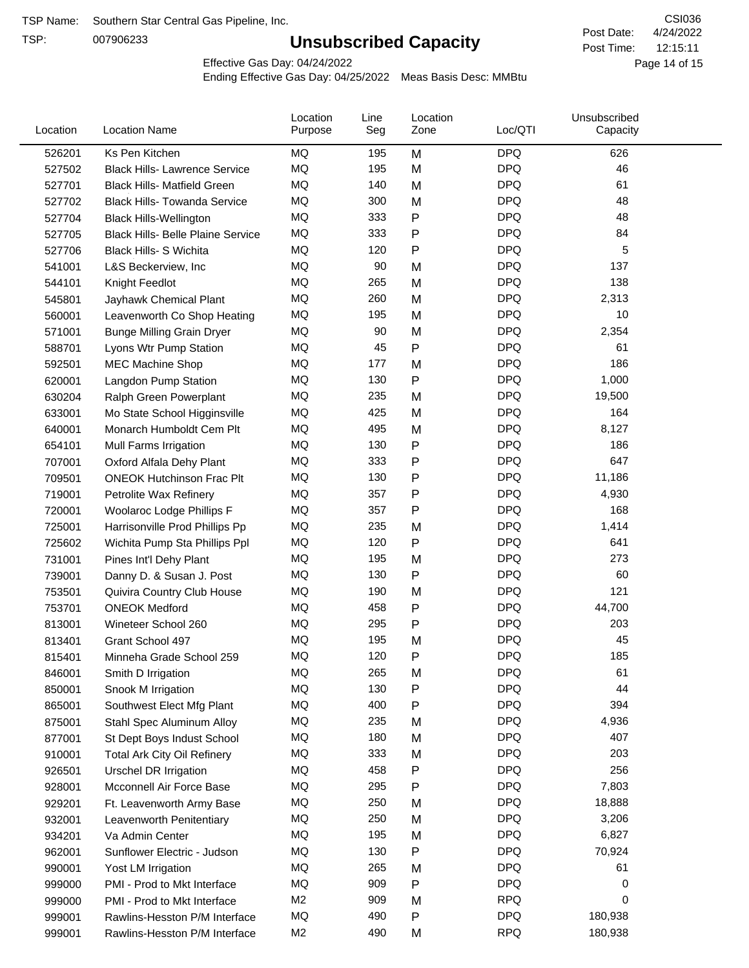TSP:

# **Unsubscribed Capacity**

4/24/2022 Page 14 of 15 12:15:11 CSI036 Post Date: Post Time:

Effective Gas Day: 04/24/2022

| Location | <b>Location Name</b>                     | Location<br>Purpose | Line<br>Seg | Location<br>Zone | Loc/QTI    | Unsubscribed<br>Capacity |  |
|----------|------------------------------------------|---------------------|-------------|------------------|------------|--------------------------|--|
| 526201   | Ks Pen Kitchen                           | MQ                  | 195         | M                | <b>DPQ</b> | 626                      |  |
| 527502   | <b>Black Hills- Lawrence Service</b>     | MQ                  | 195         | M                | <b>DPQ</b> | 46                       |  |
| 527701   | <b>Black Hills- Matfield Green</b>       | <b>MQ</b>           | 140         | M                | <b>DPQ</b> | 61                       |  |
| 527702   | <b>Black Hills- Towanda Service</b>      | MQ                  | 300         | M                | <b>DPQ</b> | 48                       |  |
| 527704   | <b>Black Hills-Wellington</b>            | MQ                  | 333         | Ρ                | <b>DPQ</b> | 48                       |  |
| 527705   | <b>Black Hills- Belle Plaine Service</b> | MQ                  | 333         | Ρ                | <b>DPQ</b> | 84                       |  |
| 527706   | <b>Black Hills- S Wichita</b>            | MQ                  | 120         | Ρ                | <b>DPQ</b> | 5                        |  |
| 541001   | L&S Beckerview, Inc.                     | MQ                  | 90          | M                | <b>DPQ</b> | 137                      |  |
| 544101   | Knight Feedlot                           | MQ                  | 265         | M                | <b>DPQ</b> | 138                      |  |
| 545801   | Jayhawk Chemical Plant                   | MQ                  | 260         | M                | <b>DPQ</b> | 2,313                    |  |
| 560001   | Leavenworth Co Shop Heating              | MQ                  | 195         | M                | <b>DPQ</b> | 10                       |  |
| 571001   | <b>Bunge Milling Grain Dryer</b>         | MQ                  | 90          | M                | <b>DPQ</b> | 2,354                    |  |
| 588701   | Lyons Wtr Pump Station                   | <b>MQ</b>           | 45          | P                | <b>DPQ</b> | 61                       |  |
| 592501   | <b>MEC Machine Shop</b>                  | MQ                  | 177         | M                | <b>DPQ</b> | 186                      |  |
| 620001   | Langdon Pump Station                     | MQ                  | 130         | P                | <b>DPQ</b> | 1,000                    |  |
| 630204   | Ralph Green Powerplant                   | MQ                  | 235         | M                | <b>DPQ</b> | 19,500                   |  |
| 633001   | Mo State School Higginsville             | MQ                  | 425         | M                | <b>DPQ</b> | 164                      |  |
| 640001   | Monarch Humboldt Cem Plt                 | MQ                  | 495         | M                | <b>DPQ</b> | 8,127                    |  |
| 654101   | Mull Farms Irrigation                    | MQ                  | 130         | P                | <b>DPQ</b> | 186                      |  |
| 707001   | Oxford Alfala Dehy Plant                 | MQ                  | 333         | Ρ                | <b>DPQ</b> | 647                      |  |
| 709501   | <b>ONEOK Hutchinson Frac Plt</b>         | MQ                  | 130         | Ρ                | <b>DPQ</b> | 11,186                   |  |
| 719001   | Petrolite Wax Refinery                   | <b>MQ</b>           | 357         | Ρ                | <b>DPQ</b> | 4,930                    |  |
| 720001   | Woolaroc Lodge Phillips F                | MQ                  | 357         | Ρ                | <b>DPQ</b> | 168                      |  |
| 725001   | Harrisonville Prod Phillips Pp           | MQ                  | 235         | M                | <b>DPQ</b> | 1,414                    |  |
| 725602   | Wichita Pump Sta Phillips Ppl            | MQ                  | 120         | P                | <b>DPQ</b> | 641                      |  |
| 731001   | Pines Int'l Dehy Plant                   | MQ                  | 195         | M                | <b>DPQ</b> | 273                      |  |
| 739001   | Danny D. & Susan J. Post                 | MQ                  | 130         | Ρ                | <b>DPQ</b> | 60                       |  |
| 753501   | Quivira Country Club House               | MQ                  | 190         | M                | <b>DPQ</b> | 121                      |  |
| 753701   | <b>ONEOK Medford</b>                     | MQ                  | 458         | P                | <b>DPQ</b> | 44,700                   |  |
| 813001   | Wineteer School 260                      | MQ                  | 295         | Ρ                | <b>DPQ</b> | 203                      |  |
| 813401   | Grant School 497                         | MQ                  | 195         | M                | <b>DPQ</b> | 45                       |  |
| 815401   | Minneha Grade School 259                 | MQ                  | 120         | Ρ                | <b>DPQ</b> | 185                      |  |
| 846001   | Smith D Irrigation                       | MQ                  | 265         | M                | <b>DPQ</b> | 61                       |  |
| 850001   | Snook M Irrigation                       | MQ                  | 130         | P                | <b>DPQ</b> | 44                       |  |
| 865001   | Southwest Elect Mfg Plant                | MQ                  | 400         | Ρ                | <b>DPQ</b> | 394                      |  |
| 875001   | Stahl Spec Aluminum Alloy                | MQ                  | 235         | M                | <b>DPQ</b> | 4,936                    |  |
| 877001   | St Dept Boys Indust School               | MQ                  | 180         | M                | <b>DPQ</b> | 407                      |  |
| 910001   | <b>Total Ark City Oil Refinery</b>       | MQ                  | 333         | M                | <b>DPQ</b> | 203                      |  |
| 926501   | <b>Urschel DR Irrigation</b>             | MQ                  | 458         | Ρ                | <b>DPQ</b> | 256                      |  |
| 928001   | Mcconnell Air Force Base                 | MQ                  | 295         | P                | <b>DPQ</b> | 7,803                    |  |
| 929201   | Ft. Leavenworth Army Base                | MQ                  | 250         | M                | <b>DPQ</b> | 18,888                   |  |
| 932001   | Leavenworth Penitentiary                 | MQ                  | 250         | M                | <b>DPQ</b> | 3,206                    |  |
| 934201   | Va Admin Center                          | MQ                  | 195         | M                | <b>DPQ</b> | 6,827                    |  |
| 962001   | Sunflower Electric - Judson              | MQ                  | 130         | Ρ                | <b>DPQ</b> | 70,924                   |  |
| 990001   | Yost LM Irrigation                       | MQ                  | 265         | M                | <b>DPQ</b> | 61                       |  |
| 999000   | PMI - Prod to Mkt Interface              | MQ                  | 909         | Ρ                | <b>DPQ</b> | 0                        |  |
| 999000   | PMI - Prod to Mkt Interface              | M <sub>2</sub>      | 909         | M                | <b>RPQ</b> | 0                        |  |
| 999001   | Rawlins-Hesston P/M Interface            | MQ                  | 490         | Ρ                | <b>DPQ</b> | 180,938                  |  |
| 999001   | Rawlins-Hesston P/M Interface            | M <sub>2</sub>      | 490         | M                | <b>RPQ</b> | 180,938                  |  |